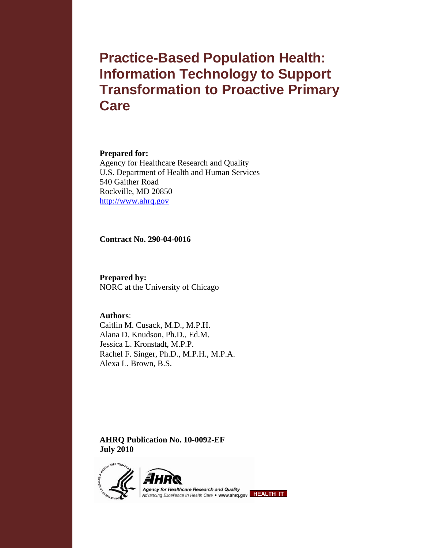# **Practice-Based Population Health: Information Technology to Support Transformation to Proactive Primary Care**

#### **Prepared for:**

Agency for Healthcare Research and Quality U.S. Department of Health and Human Services 540 Gaither Road Rockville, MD 20850 http://www.ahrq.gov

**Contract No. 290-04-0016** 

**Prepared by:**  NORC at the University of Chicago

**Authors**: Caitlin M. Cusack, M.D., M.P.H. Alana D. Knudson, Ph.D., Ed.M. Jessica L. Kronstadt, M.P.P. Rachel F. Singer, Ph.D., M.P.H., M.P.A. Alexa L. Brown, B.S.

**AHRQ Publication No. 10-0092-EF July 2010** 

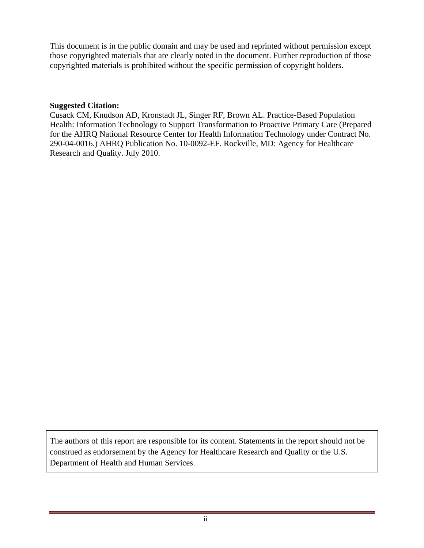This document is in the public domain and may be used and reprinted without permission except those copyrighted materials that are clearly noted in the document. Further reproduction of those copyrighted materials is prohibited without the specific permission of copyright holders.

#### **Suggested Citation:**

Cusack CM, Knudson AD, Kronstadt JL, Singer RF, Brown AL. Practice-Based Population Health: Information Technology to Support Transformation to Proactive Primary Care (Prepared for the AHRQ National Resource Center for Health Information Technology under Contract No. 290-04-0016.) AHRQ Publication No. 10-0092-EF. Rockville, MD: Agency for Healthcare Research and Quality. July 2010.

The authors of this report are responsible for its content. Statements in the report should not be construed as endorsement by the Agency for Healthcare Research and Quality or the U.S. Department of Health and Human Services.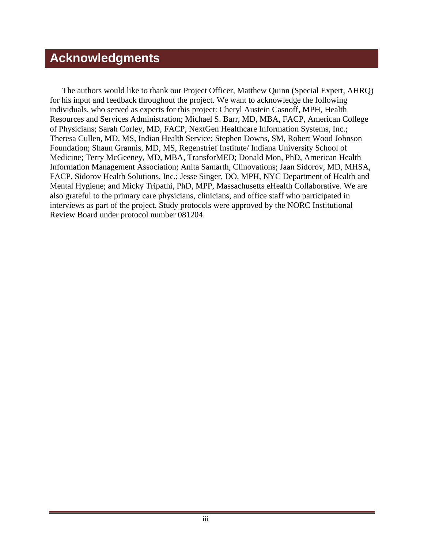# **Acknowledgments**

The authors would like to thank our Project Officer, Matthew Quinn (Special Expert, AHRQ) for his input and feedback throughout the project. We want to acknowledge the following individuals, who served as experts for this project: Cheryl Austein Casnoff, MPH, Health Resources and Services Administration; Michael S. Barr, MD, MBA, FACP, American College of Physicians; Sarah Corley, MD, FACP, NextGen Healthcare Information Systems, Inc.; Theresa Cullen, MD, MS, Indian Health Service; Stephen Downs, SM, Robert Wood Johnson Foundation; Shaun Grannis, MD, MS, Regenstrief Institute/ Indiana University School of Medicine; Terry McGeeney, MD, MBA, TransforMED; Donald Mon, PhD, American Health Information Management Association; Anita Samarth, Clinovations; Jaan Sidorov, MD, MHSA, FACP, Sidorov Health Solutions, Inc.; Jesse Singer, DO, MPH, NYC Department of Health and Mental Hygiene; and Micky Tripathi, PhD, MPP, Massachusetts eHealth Collaborative. We are also grateful to the primary care physicians, clinicians, and office staff who participated in interviews as part of the project. Study protocols were approved by the NORC Institutional Review Board under protocol number 081204.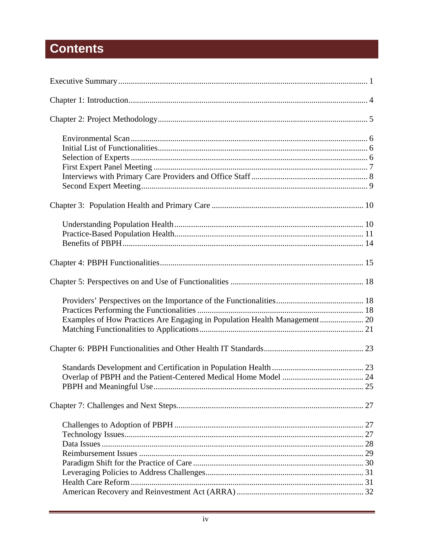# **Contents**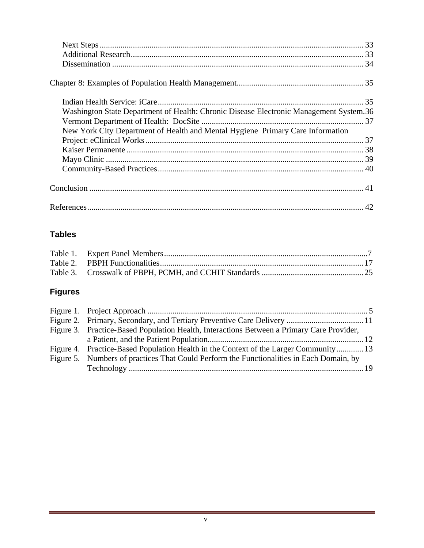| Washington State Department of Health: Chronic Disease Electronic Management System.36 |  |
|----------------------------------------------------------------------------------------|--|
|                                                                                        |  |
| New York City Department of Health and Mental Hygiene Primary Care Information         |  |
|                                                                                        |  |
|                                                                                        |  |
|                                                                                        |  |
|                                                                                        |  |
|                                                                                        |  |
|                                                                                        |  |

### **Tables**

## **Figures**

L.

| Figure 3. Practice-Based Population Health, Interactions Between a Primary Care Provider, |  |
|-------------------------------------------------------------------------------------------|--|
|                                                                                           |  |
| Figure 4. Practice-Based Population Health in the Context of the Larger Community 13      |  |
| Figure 5. Numbers of practices That Could Perform the Functionalities in Each Domain, by  |  |
|                                                                                           |  |

÷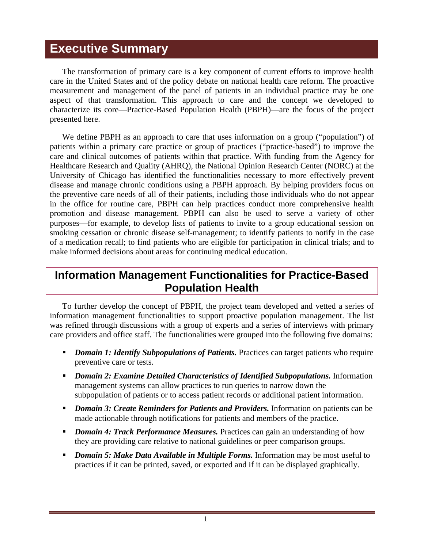## <span id="page-5-0"></span>**Executive Summary**

The transformation of primary care is a key component of current efforts to improve health care in the United States and of the policy debate on national health care reform. The proactive measurement and management of the panel of patients in an individual practice may be one aspect of that transformation. This approach to care and the concept we developed to characterize its core—Practice-Based Population Health (PBPH)—are the focus of the project presented here.

We define PBPH as an approach to care that uses information on a group ("population") of patients within a primary care practice or group of practices ("practice-based") to improve the care and clinical outcomes of patients within that practice. With funding from the Agency for Healthcare Research and Quality (AHRQ), the National Opinion Research Center (NORC) at the University of Chicago has identified the functionalities necessary to more effectively prevent disease and manage chronic conditions using a PBPH approach. By helping providers focus on the preventive care needs of all of their patients, including those individuals who do not appear in the office for routine care, PBPH can help practices conduct more comprehensive health promotion and disease management. PBPH can also be used to serve a variety of other purposes—for example, to develop lists of patients to invite to a group educational session on smoking cessation or chronic disease self-management; to identify patients to notify in the case of a medication recall; to find patients who are eligible for participation in clinical trials; and to make informed decisions about areas for continuing medical education.

## **Information Management Functionalities for Practice-Based Population Health**

To further develop the concept of PBPH, the project team developed and vetted a series of information management functionalities to support proactive population management. The list was refined through discussions with a group of experts and a series of interviews with primary care providers and office staff. The functionalities were grouped into the following five domains:

- **Domain 1: Identify Subpopulations of Patients.** Practices can target patients who require preventive care or tests.
- **Domain 2: Examine Detailed Characteristics of Identified Subpopulations.** Information management systems can allow practices to run queries to narrow down the subpopulation of patients or to access patient records or additional patient information.
- **Domain 3: Create Reminders for Patients and Providers.** Information on patients can be made actionable through notifications for patients and members of the practice.
- **Domain 4: Track Performance Measures.** Practices can gain an understanding of how they are providing care relative to national guidelines or peer comparison groups.
- **Domain 5: Make Data Available in Multiple Forms.** Information may be most useful to practices if it can be printed, saved, or exported and if it can be displayed graphically.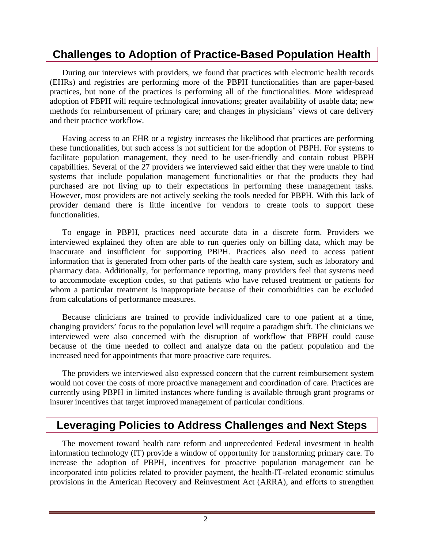## **Challenges to Adoption of Practice-Based Population Health**

During our interviews with providers, we found that practices with electronic health records (EHRs) and registries are performing more of the PBPH functionalities than are paper-based practices, but none of the practices is performing all of the functionalities. More widespread adoption of PBPH will require technological innovations; greater availability of usable data; new methods for reimbursement of primary care; and changes in physicians' views of care delivery and their practice workflow.

Having access to an EHR or a registry increases the likelihood that practices are performing these functionalities, but such access is not sufficient for the adoption of PBPH. For systems to facilitate population management, they need to be user-friendly and contain robust PBPH capabilities. Several of the 27 providers we interviewed said either that they were unable to find systems that include population management functionalities or that the products they had purchased are not living up to their expectations in performing these management tasks. However, most providers are not actively seeking the tools needed for PBPH. With this lack of provider demand there is little incentive for vendors to create tools to support these functionalities.

To engage in PBPH, practices need accurate data in a discrete form. Providers we interviewed explained they often are able to run queries only on billing data, which may be inaccurate and insufficient for supporting PBPH. Practices also need to access patient information that is generated from other parts of the health care system, such as laboratory and pharmacy data. Additionally, for performance reporting, many providers feel that systems need to accommodate exception codes, so that patients who have refused treatment or patients for whom a particular treatment is inappropriate because of their comorbidities can be excluded from calculations of performance measures.

Because clinicians are trained to provide individualized care to one patient at a time, changing providers' focus to the population level will require a paradigm shift. The clinicians we interviewed were also concerned with the disruption of workflow that PBPH could cause because of the time needed to collect and analyze data on the patient population and the increased need for appointments that more proactive care requires.

The providers we interviewed also expressed concern that the current reimbursement system would not cover the costs of more proactive management and coordination of care. Practices are currently using PBPH in limited instances where funding is available through grant programs or insurer incentives that target improved management of particular conditions.

## **Leveraging Policies to Address Challenges and Next Steps**

The movement toward health care reform and unprecedented Federal investment in health information technology (IT) provide a window of opportunity for transforming primary care. To increase the adoption of PBPH, incentives for proactive population management can be incorporated into policies related to provider payment, the health-IT-related economic stimulus provisions in the American Recovery and Reinvestment Act (ARRA), and efforts to strengthen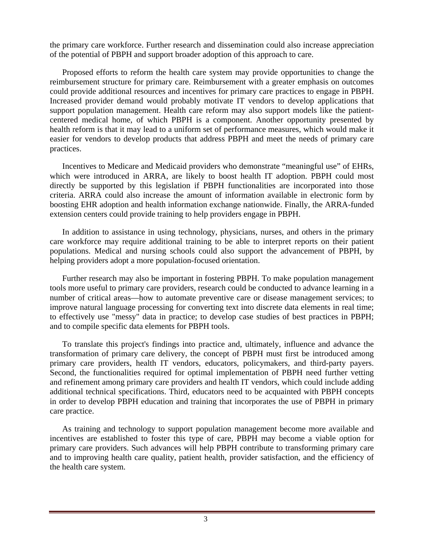the primary care workforce. Further research and dissemination could also increase appreciation of the potential of PBPH and support broader adoption of this approach to care.

Proposed efforts to reform the health care system may provide opportunities to change the reimbursement structure for primary care. Reimbursement with a greater emphasis on outcomes could provide additional resources and incentives for primary care practices to engage in PBPH. Increased provider demand would probably motivate IT vendors to develop applications that support population management. Health care reform may also support models like the patientcentered medical home, of which PBPH is a component. Another opportunity presented by health reform is that it may lead to a uniform set of performance measures, which would make it easier for vendors to develop products that address PBPH and meet the needs of primary care practices.

Incentives to Medicare and Medicaid providers who demonstrate "meaningful use" of EHRs, which were introduced in ARRA, are likely to boost health IT adoption. PBPH could most directly be supported by this legislation if PBPH functionalities are incorporated into those criteria. ARRA could also increase the amount of information available in electronic form by boosting EHR adoption and health information exchange nationwide. Finally, the ARRA-funded extension centers could provide training to help providers engage in PBPH.

In addition to assistance in using technology, physicians, nurses, and others in the primary care workforce may require additional training to be able to interpret reports on their patient populations. Medical and nursing schools could also support the advancement of PBPH, by helping providers adopt a more population-focused orientation.

Further research may also be important in fostering PBPH. To make population management tools more useful to primary care providers, research could be conducted to advance learning in a number of critical areas—how to automate preventive care or disease management services; to improve natural language processing for converting text into discrete data elements in real time; to effectively use "messy" data in practice; to develop case studies of best practices in PBPH; and to compile specific data elements for PBPH tools.

To translate this project's findings into practice and, ultimately, influence and advance the transformation of primary care delivery, the concept of PBPH must first be introduced among primary care providers, health IT vendors, educators, policymakers, and third-party payers. Second, the functionalities required for optimal implementation of PBPH need further vetting and refinement among primary care providers and health IT vendors, which could include adding additional technical specifications. Third, educators need to be acquainted with PBPH concepts in order to develop PBPH education and training that incorporates the use of PBPH in primary care practice.

As training and technology to support population management become more available and incentives are established to foster this type of care, PBPH may become a viable option for primary care providers. Such advances will help PBPH contribute to transforming primary care and to improving health care quality, patient health, provider satisfaction, and the efficiency of the health care system.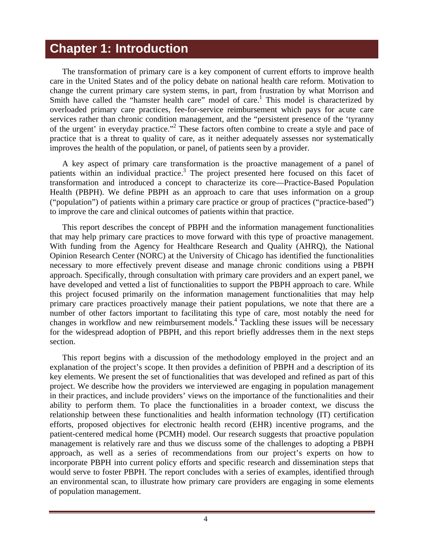## <span id="page-8-0"></span>**Chapter 1: Introduction**

The transformation of primary care is a key component of current efforts to improve health care in the United States and of the policy debate on national health care reform. Motivation to change the current primary care system stems, in part, from frustration by what Morrison and Smith have called the "hamster health care" model of care.<sup>1</sup> This model is characterized by overloaded primary care practices, fee-for-service reimbursement which pays for acute care services rather than chronic condition management, and the "persistent presence of the 'tyranny of the urgent' in everyday practice."<sup>2</sup> These factors often combine to create a style and pace of practice that is a threat to quality of care, as it neither adequately assesses nor systematically improves the health of the population, or panel, of patients seen by a provider.

A key aspect of primary care transformation is the proactive management of a panel of patients within an individual practice.<sup>3</sup> The project presented here focused on this facet of transformation and introduced a concept to characterize its core—Practice-Based Population Health (PBPH). We define PBPH as an approach to care that uses information on a group ("population") of patients within a primary care practice or group of practices ("practice-based") to improve the care and clinical outcomes of patients within that practice.

This report describes the concept of PBPH and the information management functionalities that may help primary care practices to move forward with this type of proactive management. With funding from the Agency for Healthcare Research and Quality (AHRQ), the National Opinion Research Center (NORC) at the University of Chicago has identified the functionalities necessary to more effectively prevent disease and manage chronic conditions using a PBPH approach. Specifically, through consultation with primary care providers and an expert panel, we have developed and vetted a list of functionalities to support the PBPH approach to care. While this project focused primarily on the information management functionalities that may help primary care practices proactively manage their patient populations, we note that there are a number of other factors important to facilitating this type of care, most notably the need for changes in workflow and new reimbursement models.<sup>4</sup> Tackling these issues will be necessary for the widespread adoption of PBPH, and this report briefly addresses them in the next steps section.

This report begins with a discussion of the methodology employed in the project and an explanation of the project's scope. It then provides a definition of PBPH and a description of its key elements. We present the set of functionalities that was developed and refined as part of this project. We describe how the providers we interviewed are engaging in population management in their practices, and include providers' views on the importance of the functionalities and their ability to perform them. To place the functionalities in a broader context, we discuss the relationship between these functionalities and health information technology (IT) certification efforts, proposed objectives for electronic health record (EHR) incentive programs, and the patient-centered medical home (PCMH) model. Our research suggests that proactive population management is relatively rare and thus we discuss some of the challenges to adopting a PBPH approach, as well as a series of recommendations from our project's experts on how to incorporate PBPH into current policy efforts and specific research and dissemination steps that would serve to foster PBPH. The report concludes with a series of examples, identified through an environmental scan, to illustrate how primary care providers are engaging in some elements of population management.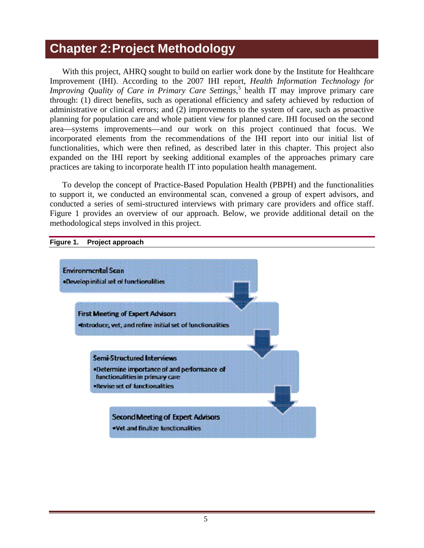# <span id="page-9-0"></span>**Chapter 2: Project Methodology**

With this project, AHRQ sought to build on earlier work done by the Institute for Healthcare Improvement (IHI). According to the 2007 IHI report, *Health Information Technology for Improving Quality of Care in Primary Care Settings*,<sup>5</sup> health IT may improve primary care through: (1) direct benefits, such as operational efficiency and safety achieved by reduction of administrative or clinical errors; and (2) improvements to the system of care, such as proactive planning for population care and whole patient view for planned care. IHI focused on the second area—systems improvements—and our work on this project continued that focus. We incorporated elements from the recommendations of the IHI report into our initial list of functionalities, which were then refined, as described later in this chapter. This project also expanded on the IHI report by seeking additional examples of the approaches primary care practices are taking to incorporate health IT into population health management.

To develop the concept of Practice-Based Population Health (PBPH) and the functionalities to support it, we conducted an environmental scan, convened a group of expert advisors, and conducted a series of semi-structured interviews with primary care providers and office staff. Figure 1 provides an overview of our approach. Below, we provide additional detail on the methodological steps involved in this project.



#### **Figure 1. Project approach**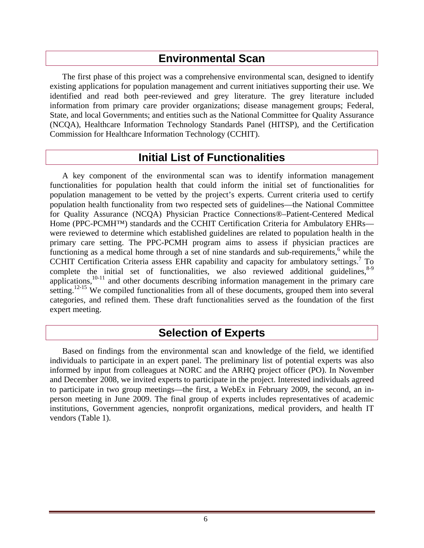## **Environmental Scan**

<span id="page-10-0"></span>The first phase of this project was a comprehensive environmental scan, designed to identify existing applications for population management and current initiatives supporting their use. We identified and read both peer-reviewed and grey literature. The grey literature included information from primary care provider organizations; disease management groups; Federal, State, and local Governments; and entities such as the National Committee for Quality Assurance (NCQA), Healthcare Information Technology Standards Panel (HITSP), and the Certification Commission for Healthcare Information Technology (CCHIT).

## **Initial List of Functionalities**

A key component of the environmental scan was to identify information management functionalities for population health that could inform the initial set of functionalities for population management to be vetted by the project's experts. Current criteria used to certify population health functionality from two respected sets of guidelines—the National Committee for Quality Assurance (NCQA) Physician Practice Connections®–Patient-Centered Medical Home (PPC-PCMH<sup>™</sup>) standards and the CCHIT Certification Criteria for Ambulatory EHRs were reviewed to determine which established guidelines are related to population health in the primary care setting. The PPC-PCMH program aims to assess if physician practices are functioning as a medical home through a set of nine standards and sub-requirements,<sup>6</sup> while the CCHIT Certification Criteria assess EHR capability and capacity for ambulatory settings.<sup>7</sup> To complete the initial set of functionalities, we also reviewed additional guidelines,  $8-9$ applications, $10-11$  and other documents describing information management in the primary care setting.<sup>12-15</sup> We compiled functionalities from all of these documents, grouped them into several categories, and refined them. These draft functionalities served as the foundation of the first expert meeting.

## **Selection of Experts**

Based on findings from the environmental scan and knowledge of the field, we identified individuals to participate in an expert panel. The preliminary list of potential experts was also informed by input from colleagues at NORC and the ARHQ project officer (PO). In November and December 2008, we invited experts to participate in the project. Interested individuals agreed to participate in two group meetings—the first, a WebEx in February 2009, the second, an inperson meeting in June 2009. The final group of experts includes representatives of academic institutions, Government agencies, nonprofit organizations, medical providers, and health IT vendors (Table 1).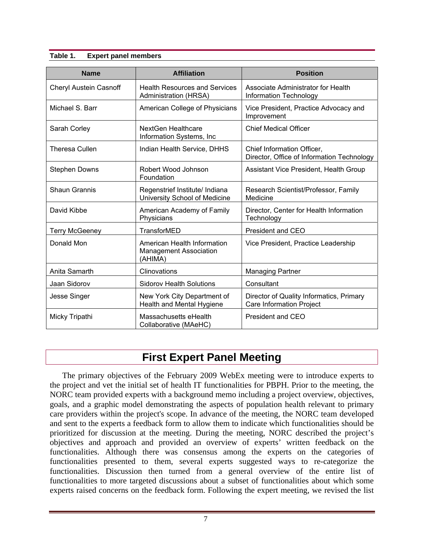#### <span id="page-11-0"></span>**Table 1. Expert panel members**

| <b>Name</b>                   | <b>Affiliation</b>                                                      | <b>Position</b>                                                             |  |  |
|-------------------------------|-------------------------------------------------------------------------|-----------------------------------------------------------------------------|--|--|
| <b>Cheryl Austein Casnoff</b> | <b>Health Resources and Services</b><br>Administration (HRSA)           | Associate Administrator for Health<br>Information Technology                |  |  |
| Michael S. Barr               | American College of Physicians                                          | Vice President, Practice Advocacy and<br>Improvement                        |  |  |
| Sarah Corley                  | <b>NextGen Healthcare</b><br>Information Systems, Inc                   | <b>Chief Medical Officer</b>                                                |  |  |
| Theresa Cullen                | Indian Health Service, DHHS                                             | Chief Information Officer,<br>Director, Office of Information Technology    |  |  |
| <b>Stephen Downs</b>          | Robert Wood Johnson<br>Foundation                                       | Assistant Vice President, Health Group                                      |  |  |
| <b>Shaun Grannis</b>          | Regenstrief Institute/ Indiana<br>University School of Medicine         | Research Scientist/Professor, Family<br>Medicine                            |  |  |
| David Kibbe                   | American Academy of Family<br>Physicians                                | Director, Center for Health Information<br>Technology                       |  |  |
| <b>Terry McGeeney</b>         | TransforMED                                                             | President and CEO                                                           |  |  |
| Donald Mon                    | American Health Information<br><b>Management Association</b><br>(AHIMA) | Vice President, Practice Leadership                                         |  |  |
| Anita Samarth                 | Clinovations                                                            | <b>Managing Partner</b>                                                     |  |  |
| Jaan Sidorov                  | <b>Sidorov Health Solutions</b>                                         | Consultant                                                                  |  |  |
| <b>Jesse Singer</b>           | New York City Department of<br>Health and Mental Hygiene                | Director of Quality Informatics, Primary<br><b>Care Information Project</b> |  |  |
| Micky Tripathi                | Massachusetts eHealth<br>Collaborative (MAeHC)                          | <b>President and CEO</b>                                                    |  |  |

## **First Expert Panel Meeting**

The primary objectives of the February 2009 WebEx meeting were to introduce experts to the project and vet the initial set of health IT functionalities for PBPH. Prior to the meeting, the NORC team provided experts with a background memo including a project overview, objectives, goals, and a graphic model demonstrating the aspects of population health relevant to primary care providers within the project's scope. In advance of the meeting, the NORC team developed and sent to the experts a feedback form to allow them to indicate which functionalities should be prioritized for discussion at the meeting. During the meeting, NORC described the project's objectives and approach and provided an overview of experts' written feedback on the functionalities. Although there was consensus among the experts on the categories of functionalities presented to them, several experts suggested ways to re-categorize the functionalities. Discussion then turned from a general overview of the entire list of functionalities to more targeted discussions about a subset of functionalities about which some experts raised concerns on the feedback form. Following the expert meeting, we revised the list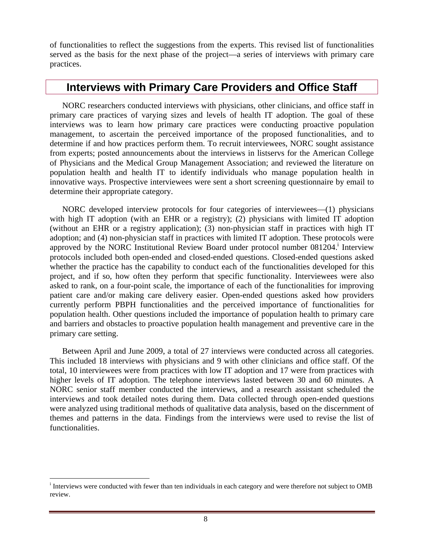<span id="page-12-0"></span>of functionalities to reflect the suggestions from the experts. This revised list of functionalities served as the basis for the next phase of the project—a series of interviews with primary care practices.

### **Interviews with Primary Care Providers and Office Staff**

NORC researchers conducted interviews with physicians, other clinicians, and office staff in primary care practices of varying sizes and levels of health IT adoption. The goal of these interviews was to learn how primary care practices were conducting proactive population management, to ascertain the perceived importance of the proposed functionalities, and to determine if and how practices perform them. To recruit interviewees, NORC sought assistance from experts; posted announcements about the interviews in listservs for the American College of Physicians and the Medical Group Management Association; and reviewed the literature on population health and health IT to identify individuals who manage population health in innovative ways. Prospective interviewees were sent a short screening questionnaire by email to determine their appropriate category.

NORC developed interview protocols for four categories of interviewees—(1) physicians with high IT adoption (with an EHR or a registry); (2) physicians with limited IT adoption (without an EHR or a registry application); (3) non-physician staff in practices with high IT adoption; and (4) non-physician staff in practices with limited IT adoption. These protocols were approved by the NORC Institutional Review Board under protocol number 081204. Interview protocols included both open-ended and closed-ended questions. Closed-ended questions asked whether the practice has the capability to conduct each of the functionalities developed for this project, and if so, how often they perform that specific functionality. Interviewees were also asked to rank, on a four-point scale, the importance of each of the functionalities for improving patient care and/or making care delivery easier. Open-ended questions asked how providers currently perform PBPH functionalities and the perceived importance of functionalities for population health. Other questions included the importance of population health to primary care and barriers and obstacles to proactive population health management and preventive care in the primary care setting.

Between April and June 2009, a total of 27 interviews were conducted across all categories. This included 18 interviews with physicians and 9 with other clinicians and office staff. Of the total, 10 interviewees were from practices with low IT adoption and 17 were from practices with higher levels of IT adoption. The telephone interviews lasted between 30 and 60 minutes. A NORC senior staff member conducted the interviews, and a research assistant scheduled the interviews and took detailed notes during them. Data collected through open-ended questions were analyzed using traditional methods of qualitative data analysis, based on the discernment of themes and patterns in the data. Findings from the interviews were used to revise the list of functionalities.

<sup>&</sup>lt;sup>i</sup> Interviews were conducted with fewer than ten individuals in each category and were therefore not subject to OMB review.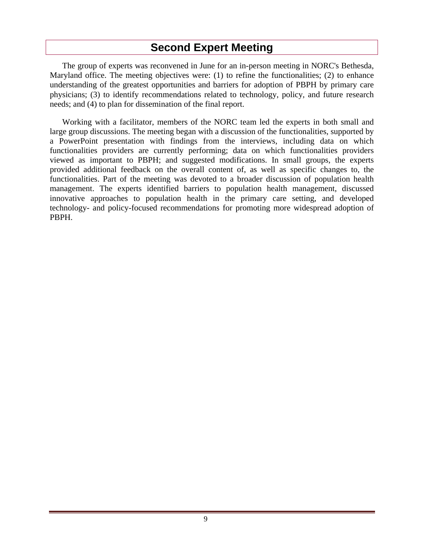## **Second Expert Meeting**

<span id="page-13-0"></span>The group of experts was reconvened in June for an in-person meeting in NORC's Bethesda, Maryland office. The meeting objectives were: (1) to refine the functionalities; (2) to enhance understanding of the greatest opportunities and barriers for adoption of PBPH by primary care physicians; (3) to identify recommendations related to technology, policy, and future research needs; and (4) to plan for dissemination of the final report.

Working with a facilitator, members of the NORC team led the experts in both small and large group discussions. The meeting began with a discussion of the functionalities, supported by a PowerPoint presentation with findings from the interviews, including data on which functionalities providers are currently performing; data on which functionalities providers viewed as important to PBPH; and suggested modifications. In small groups, the experts provided additional feedback on the overall content of, as well as specific changes to, the functionalities. Part of the meeting was devoted to a broader discussion of population health management. The experts identified barriers to population health management, discussed innovative approaches to population health in the primary care setting, and developed technology- and policy-focused recommendations for promoting more widespread adoption of PBPH.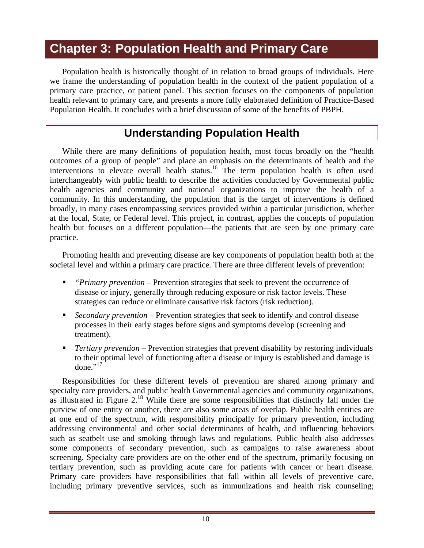# **Chapter 3: Population Health and Primary Care**

Population health is historically thought of in relation to broad groups of individuals. Here we frame the understanding of population health in the context of the patient population of a primary care practice, or patient panel. This section focuses on the components of population health relevant to primary care, and presents a more fully elaborated definition of Practice-Based Population Health. It concludes with a brief discussion of some of the benefits of PBPH.

## **Understanding Population Health**

While there are many definitions of population health, most focus broadly on the "health outcomes of a group of people" and place an emphasis on the determinants of health and the interventions to elevate overall health status.<sup>16</sup> The term population health is often used interchangeably with public health to describe the activities conducted by Governmental public health agencies and community and national organizations to improve the health of a community. In this understanding, the population that is the target of interventions is defined broadly, in many cases encompassing services provided within a particular jurisdiction, whether at the local, State, or Federal level. This project, in contrast, applies the concepts of population health but focuses on a different population—the patients that are seen by one primary care practice.

Promoting health and preventing disease are key components of population health both at the societal level and within a primary care practice. There are three different levels of prevention:

- *"Primary prevention* Prevention strategies that seek to prevent the occurrence of disease or injury, generally through reducing exposure or risk factor levels. These strategies can reduce or eliminate causative risk factors (risk reduction).
- *Secondary prevention* Prevention strategies that seek to identify and control disease processes in their early stages before signs and symptoms develop (screening and treatment).
- *Tertiary prevention*  Prevention strategies that prevent disability by restoring individuals to their optimal level of functioning after a disease or injury is established and damage is done." $^{17}$

Responsibilities for these different levels of prevention are shared among primary and specialty care providers, and public health Governmental agencies and community organizations, as illustrated in Figure 2.<sup>18</sup> While there are some responsibilities that distinctly fall under the purview of one entity or another, there are also some areas of overlap. Public health entities are at one end of the spectrum, with responsibility principally for primary prevention, including addressing environmental and other social determinants of health, and influencing behaviors such as seatbelt use and smoking through laws and regulations. Public health also addresses some components of secondary prevention, such as campaigns to raise awareness about screening. Specialty care providers are on the other end of the spectrum, primarily focusing on tertiary prevention, such as providing acute care for patients with cancer or heart disease. Primary care providers have responsibilities that fall within all levels of preventive care, including primary preventive services, such as immunizations and health risk counseling;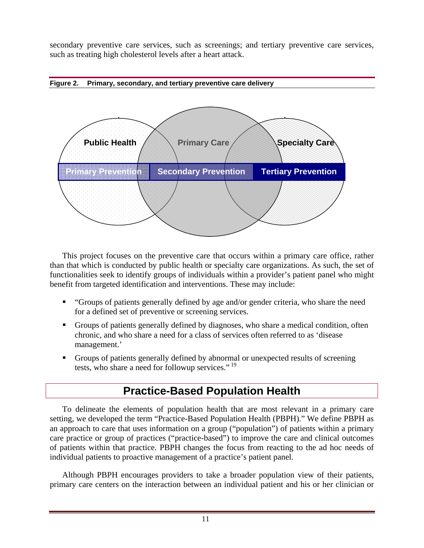<span id="page-15-0"></span>secondary preventive care services, such as screenings; and tertiary preventive care services, such as treating high cholesterol levels after a heart attack.



This project focuses on the preventive care that occurs within a primary care office, rather than that which is conducted by public health or specialty care organizations. As such, the set of functionalities seek to identify groups of individuals within a provider's patient panel who might benefit from targeted identification and interventions. These may include:

- "Groups of patients generally defined by age and/or gender criteria, who share the need for a defined set of preventive or screening services.
- Groups of patients generally defined by diagnoses, who share a medical condition, often chronic, and who share a need for a class of services often referred to as 'disease management.'
- Groups of patients generally defined by abnormal or unexpected results of screening tests, who share a need for followup services."<sup>19</sup>

## **Practice-Based Population Health**

To delineate the elements of population health that are most relevant in a primary care setting, we developed the term "Practice-Based Population Health (PBPH)." We define PBPH as an approach to care that uses information on a group ("population") of patients within a primary care practice or group of practices ("practice-based") to improve the care and clinical outcomes of patients within that practice. PBPH changes the focus from reacting to the ad hoc needs of individual patients to proactive management of a practice's patient panel.

Although PBPH encourages providers to take a broader population view of their patients, primary care centers on the interaction between an individual patient and his or her clinician or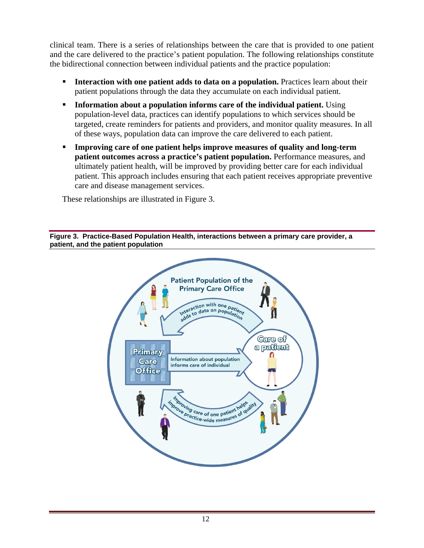<span id="page-16-0"></span>clinical team. There is a series of relationships between the care that is provided to one patient and the care delivered to the practice's patient population. The following relationships constitute the bidirectional connection between individual patients and the practice population:

- **Interaction with one patient adds to data on a population.** Practices learn about their patient populations through the data they accumulate on each individual patient.
- **Information about a population informs care of the individual patient.** Using population-level data, practices can identify populations to which services should be targeted, create reminders for patients and providers, and monitor quality measures. In all of these ways, population data can improve the care delivered to each patient.
- **Improving care of one patient helps improve measures of quality and long-term patient outcomes across a practice's patient population.** Performance measures, and ultimately patient health, will be improved by providing better care for each individual patient. This approach includes ensuring that each patient receives appropriate preventive care and disease management services.

These relationships are illustrated in Figure 3.

**Figure 3. Practice-Based Population Health, interactions between a primary care provider, a patient, and the patient population** 

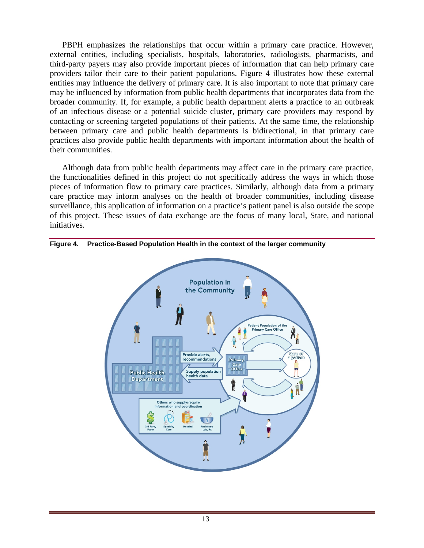<span id="page-17-0"></span>PBPH emphasizes the relationships that occur within a primary care practice. However, external entities, including specialists, hospitals, laboratories, radiologists, pharmacists, and third-party payers may also provide important pieces of information that can help primary care providers tailor their care to their patient populations. Figure 4 illustrates how these external entities may influence the delivery of primary care. It is also important to note that primary care may be influenced by information from public health departments that incorporates data from the broader community. If, for example, a public health department alerts a practice to an outbreak of an infectious disease or a potential suicide cluster, primary care providers may respond by contacting or screening targeted populations of their patients. At the same time, the relationship between primary care and public health departments is bidirectional, in that primary care practices also provide public health departments with important information about the health of their communities.

Although data from public health departments may affect care in the primary care practice, the functionalities defined in this project do not specifically address the ways in which those pieces of information flow to primary care practices. Similarly, although data from a primary care practice may inform analyses on the health of broader communities, including disease surveillance, this application of information on a practice's patient panel is also outside the scope of this project. These issues of data exchange are the focus of many local, State, and national initiatives.



#### **Figure 4. Practice-Based Population Health in the context of the larger community**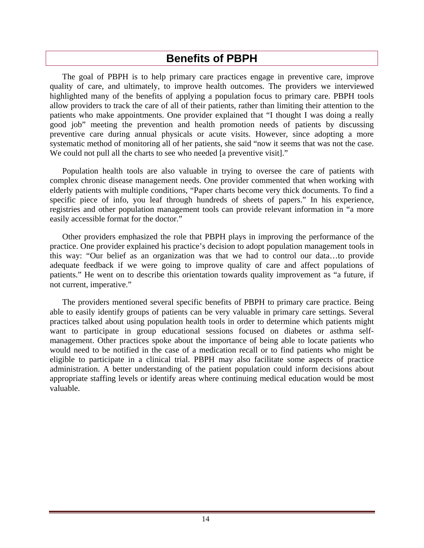## **Benefits of PBPH**

<span id="page-18-0"></span>The goal of PBPH is to help primary care practices engage in preventive care, improve quality of care, and ultimately, to improve health outcomes. The providers we interviewed highlighted many of the benefits of applying a population focus to primary care. PBPH tools allow providers to track the care of all of their patients, rather than limiting their attention to the patients who make appointments. One provider explained that "I thought I was doing a really good job" meeting the prevention and health promotion needs of patients by discussing preventive care during annual physicals or acute visits. However, since adopting a more systematic method of monitoring all of her patients, she said "now it seems that was not the case. We could not pull all the charts to see who needed [a preventive visit]."

Population health tools are also valuable in trying to oversee the care of patients with complex chronic disease management needs. One provider commented that when working with elderly patients with multiple conditions, "Paper charts become very thick documents. To find a specific piece of info, you leaf through hundreds of sheets of papers." In his experience, registries and other population management tools can provide relevant information in "a more easily accessible format for the doctor."

Other providers emphasized the role that PBPH plays in improving the performance of the practice. One provider explained his practice's decision to adopt population management tools in this way: "Our belief as an organization was that we had to control our data…to provide adequate feedback if we were going to improve quality of care and affect populations of patients." He went on to describe this orientation towards quality improvement as "a future, if not current, imperative."

The providers mentioned several specific benefits of PBPH to primary care practice. Being able to easily identify groups of patients can be very valuable in primary care settings. Several practices talked about using population health tools in order to determine which patients might want to participate in group educational sessions focused on diabetes or asthma selfmanagement. Other practices spoke about the importance of being able to locate patients who would need to be notified in the case of a medication recall or to find patients who might be eligible to participate in a clinical trial. PBPH may also facilitate some aspects of practice administration. A better understanding of the patient population could inform decisions about appropriate staffing levels or identify areas where continuing medical education would be most valuable.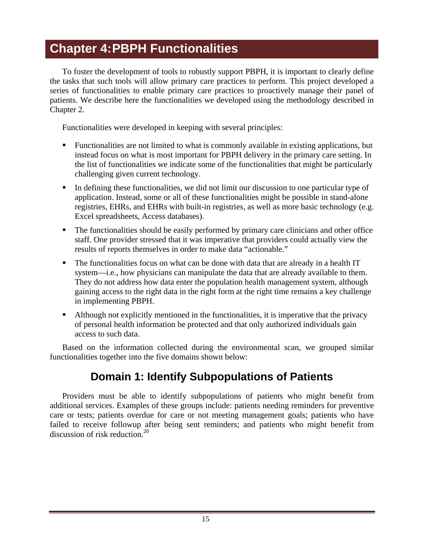# <span id="page-19-0"></span>**Chapter 4: PBPH Functionalities**

To foster the development of tools to robustly support PBPH, it is important to clearly define the tasks that such tools will allow primary care practices to perform. This project developed a series of functionalities to enable primary care practices to proactively manage their panel of patients. We describe here the functionalities we developed using the methodology described in Chapter 2.

Functionalities were developed in keeping with several principles:

- Functionalities are not limited to what is commonly available in existing applications, but instead focus on what is most important for PBPH delivery in the primary care setting. In the list of functionalities we indicate some of the functionalities that might be particularly challenging given current technology.
- In defining these functionalities, we did not limit our discussion to one particular type of application. Instead, some or all of these functionalities might be possible in stand-alone registries, EHRs, and EHRs with built-in registries, as well as more basic technology (e.g. Excel spreadsheets, Access databases).
- The functionalities should be easily performed by primary care clinicians and other office staff. One provider stressed that it was imperative that providers could actually view the results of reports themselves in order to make data "actionable."
- The functionalities focus on what can be done with data that are already in a health IT system—i.e., how physicians can manipulate the data that are already available to them. They do not address how data enter the population health management system, although gaining access to the right data in the right form at the right time remains a key challenge in implementing PBPH.
- Although not explicitly mentioned in the functionalities, it is imperative that the privacy of personal health information be protected and that only authorized individuals gain access to such data.

Based on the information collected during the environmental scan, we grouped similar functionalities together into the five domains shown below:

## **Domain 1: Identify Subpopulations of Patients**

Providers must be able to identify subpopulations of patients who might benefit from additional services. Examples of these groups include: patients needing reminders for preventive care or tests; patients overdue for care or not meeting management goals; patients who have failed to receive followup after being sent reminders; and patients who might benefit from discussion of risk reduction.<sup>20</sup>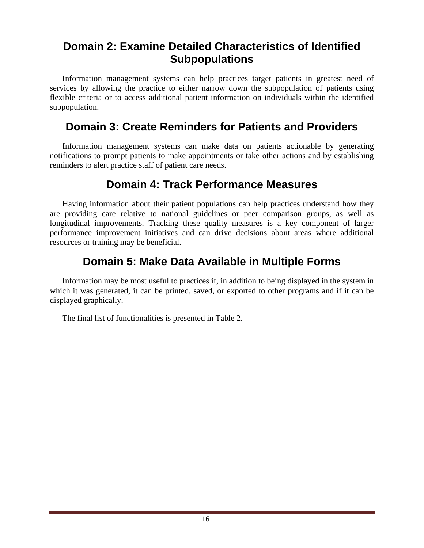## **Domain 2: Examine Detailed Characteristics of Identified Subpopulations**

Information management systems can help practices target patients in greatest need of services by allowing the practice to either narrow down the subpopulation of patients using flexible criteria or to access additional patient information on individuals within the identified subpopulation.

## **Domain 3: Create Reminders for Patients and Providers**

Information management systems can make data on patients actionable by generating notifications to prompt patients to make appointments or take other actions and by establishing reminders to alert practice staff of patient care needs.

## **Domain 4: Track Performance Measures**

Having information about their patient populations can help practices understand how they are providing care relative to national guidelines or peer comparison groups, as well as longitudinal improvements. Tracking these quality measures is a key component of larger performance improvement initiatives and can drive decisions about areas where additional resources or training may be beneficial.

## **Domain 5: Make Data Available in Multiple Forms**

Information may be most useful to practices if, in addition to being displayed in the system in which it was generated, it can be printed, saved, or exported to other programs and if it can be displayed graphically.

The final list of functionalities is presented in Table 2.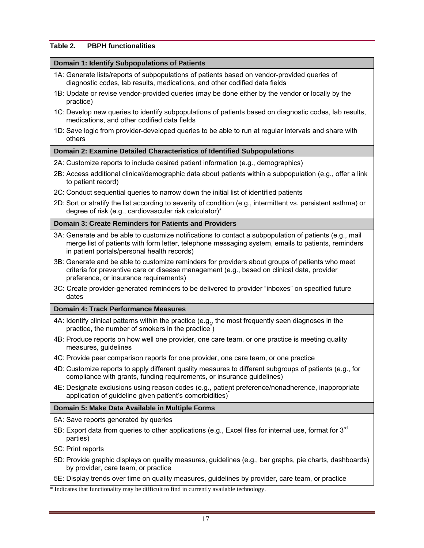#### **Table 2. PBPH functionalities**

#### **Domain 1: Identify Subpopulations of Patients**

- 1A: Generate lists/reports of subpopulations of patients based on vendor-provided queries of diagnostic codes, lab results, medications, and other codified data fields
- 1B: Update or revise vendor-provided queries (may be done either by the vendor or locally by the practice)
- 1C: Develop new queries to identify subpopulations of patients based on diagnostic codes, lab results, medications, and other codified data fields
- 1D: Save logic from provider-developed queries to be able to run at regular intervals and share with others

#### **Domain 2: Examine Detailed Characteristics of Identified Subpopulations**

- 2A: Customize reports to include desired patient information (e.g., demographics)
- 2B: Access additional clinical/demographic data about patients within a subpopulation (e.g., offer a link to patient record)
- 2C: Conduct sequential queries to narrow down the initial list of identified patients
- 2D: Sort or stratify the list according to severity of condition (e.g., intermittent vs. persistent asthma) or degree of risk (e.g., cardiovascular risk calculator)\*

#### **Domain 3: Create Reminders for Patients and Providers**

- 3A: Generate and be able to customize notifications to contact a subpopulation of patients (e.g., mail merge list of patients with form letter, telephone messaging system, emails to patients, reminders in patient portals/personal health records)
- 3B: Generate and be able to customize reminders for providers about groups of patients who meet criteria for preventive care or disease management (e.g., based on clinical data, provider preference, or insurance requirements)
- 3C: Create provider-generated reminders to be delivered to provider "inboxes" on specified future dates

#### **Domain 4: Track Performance Measures**

- 4A: Identify clinical patterns within the practice (e.g., the most frequently seen diagnoses in the practice, the number of smokers in the practice)
- 4B: Produce reports on how well one provider, one care team, or one practice is meeting quality measures, guidelines
- 4C: Provide peer comparison reports for one provider, one care team, or one practice
- 4D: Customize reports to apply different quality measures to different subgroups of patients (e.g., for compliance with grants, funding requirements, or insurance guidelines)
- 4E: Designate exclusions using reason codes (e.g., patient preference/nonadherence, inappropriate application of guideline given patient's comorbidities)<sup>\*</sup>

#### **Domain 5: Make Data Available in Multiple Forms**

5A: Save reports generated by queries

- 5B: Export data from queries to other applications (e.g., Excel files for internal use, format for  $3<sup>rd</sup>$ parties)
- 5C: Print reports
- 5D: Provide graphic displays on quality measures, guidelines (e.g., bar graphs, pie charts, dashboards) by provider, care team, or practice
- 5E: Display trends over time on quality measures, guidelines by provider, care team, or practice

\* Indicates that functionality may be difficult to find in currently available technology.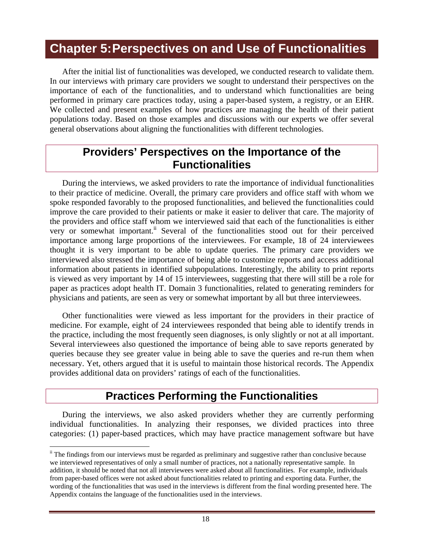# <span id="page-22-0"></span>**Chapter 5: Perspectives on and Use of Functionalities**

After the initial list of functionalities was developed, we conducted research to validate them. In our interviews with primary care providers we sought to understand their perspectives on the importance of each of the functionalities, and to understand which functionalities are being performed in primary care practices today, using a paper-based system, a registry, or an EHR. We collected and present examples of how practices are managing the health of their patient populations today. Based on those examples and discussions with our experts we offer several general observations about aligning the functionalities with different technologies.

## **Providers' Perspectives on the Importance of the Functionalities**

During the interviews, we asked providers to rate the importance of individual functionalities to their practice of medicine. Overall, the primary care providers and office staff with whom we spoke responded favorably to the proposed functionalities, and believed the functionalities could improve the care provided to their patients or make it easier to deliver that care. The majority of the providers and office staff whom we interviewed said that each of the functionalities is either very or somewhat important.<sup>ii</sup> Several of the functionalities stood out for their perceived importance among large proportions of the interviewees. For example, 18 of 24 interviewees thought it is very important to be able to update queries. The primary care providers we interviewed also stressed the importance of being able to customize reports and access additional information about patients in identified subpopulations. Interestingly, the ability to print reports is viewed as very important by 14 of 15 interviewees, suggesting that there will still be a role for paper as practices adopt health IT. Domain 3 functionalities, related to generating reminders for physicians and patients, are seen as very or somewhat important by all but three interviewees.

Other functionalities were viewed as less important for the providers in their practice of medicine. For example, eight of 24 interviewees responded that being able to identify trends in the practice, including the most frequently seen diagnoses, is only slightly or not at all important. Several interviewees also questioned the importance of being able to save reports generated by queries because they see greater value in being able to save the queries and re-run them when necessary. Yet, others argued that it is useful to maintain those historical records. The Appendix provides additional data on providers' ratings of each of the functionalities.

## **Practices Performing the Functionalities**

During the interviews, we also asked providers whether they are currently performing individual functionalities. In analyzing their responses, we divided practices into three categories: (1) paper-based practices, which may have practice management software but have

ii The findings from our interviews must be regarded as preliminary and suggestive rather than conclusive because we interviewed representatives of only a small number of practices, not a nationally representative sample. In addition, it should be noted that not all interviewees were asked about all functionalities. For example, individuals from paper-based offices were not asked about functionalities related to printing and exporting data. Further, the wording of the functionalities that was used in the interviews is different from the final wording presented here. The Appendix contains the language of the functionalities used in the interviews.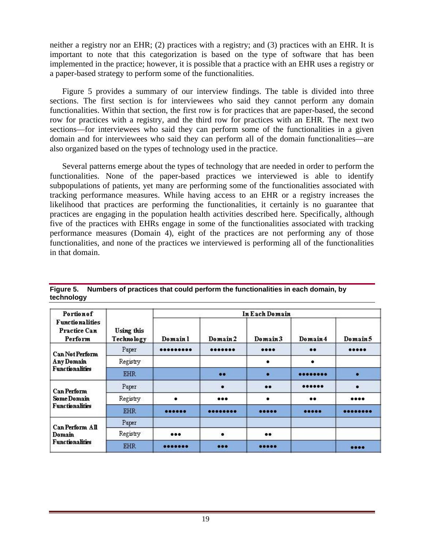<span id="page-23-0"></span>neither a registry nor an EHR; (2) practices with a registry; and (3) practices with an EHR. It is important to note that this categorization is based on the type of software that has been implemented in the practice; however, it is possible that a practice with an EHR uses a registry or a paper-based strategy to perform some of the functionalities.

Figure 5 provides a summary of our interview findings. The table is divided into three sections. The first section is for interviewees who said they cannot perform any domain functionalities. Within that section, the first row is for practices that are paper-based, the second row for practices with a registry, and the third row for practices with an EHR. The next two sections—for interviewees who said they can perform some of the functionalities in a given domain and for interviewees who said they can perform all of the domain functionalities—are also organized based on the types of technology used in the practice.

Several patterns emerge about the types of technology that are needed in order to perform the functionalities. None of the paper-based practices we interviewed is able to identify subpopulations of patients, yet many are performing some of the functionalities associated with tracking performance measures. While having access to an EHR or a registry increases the likelihood that practices are performing the functionalities, it certainly is no guarantee that practices are engaging in the population health activities described here. Specifically, although five of the practices with EHRs engage in some of the functionalities associated with tracking performance measures (Domain 4), eight of the practices are not performing any of those functionalities, and none of the practices we interviewed is performing all of the functionalities in that domain.

| Portion of<br><b>Functionalities</b><br>Practice Can<br>Perform |                                 |                         | In Each Domain |                  |          |          |  |
|-----------------------------------------------------------------|---------------------------------|-------------------------|----------------|------------------|----------|----------|--|
|                                                                 | Using this<br><b>Technology</b> | Domain 1                | Domain 2       | Domain 3         | Domain 4 | Domain 5 |  |
| <b>Can Not Perform</b><br>Any Domain                            | Paper                           |                         |                |                  |          |          |  |
|                                                                 | Registry                        |                         |                |                  |          |          |  |
| <b>Functionalities</b>                                          | EHR.                            |                         | $\bullet$      |                  |          |          |  |
| Can Perform<br><b>Some Domain</b><br><b>Functionalities</b>     | Paper                           |                         | $\bullet$      |                  |          | ٠        |  |
|                                                                 | Registry                        | ٠                       |                |                  |          |          |  |
|                                                                 | <b>EHR</b>                      |                         |                |                  |          |          |  |
| Can Perform All<br>Domain<br><b>Functionalities</b>             | Paper                           |                         |                |                  |          |          |  |
|                                                                 | Registry                        | $\bullet\bullet\bullet$ | ٠              | $\bullet\bullet$ |          |          |  |
|                                                                 | <b>EHR</b>                      |                         |                |                  |          | $$       |  |

**Figure 5. Numbers of practices that could perform the functionalities in each domain, by technology**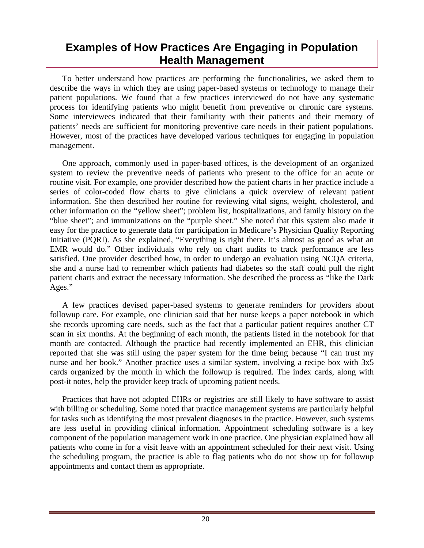## <span id="page-24-0"></span>**Examples of How Practices Are Engaging in Population Health Management**

To better understand how practices are performing the functionalities, we asked them to describe the ways in which they are using paper-based systems or technology to manage their patient populations. We found that a few practices interviewed do not have any systematic process for identifying patients who might benefit from preventive or chronic care systems. Some interviewees indicated that their familiarity with their patients and their memory of patients' needs are sufficient for monitoring preventive care needs in their patient populations. However, most of the practices have developed various techniques for engaging in population management.

One approach, commonly used in paper-based offices, is the development of an organized system to review the preventive needs of patients who present to the office for an acute or routine visit. For example, one provider described how the patient charts in her practice include a series of color-coded flow charts to give clinicians a quick overview of relevant patient information. She then described her routine for reviewing vital signs, weight, cholesterol, and other information on the "yellow sheet"; problem list, hospitalizations, and family history on the "blue sheet"; and immunizations on the "purple sheet." She noted that this system also made it easy for the practice to generate data for participation in Medicare's Physician Quality Reporting Initiative (PQRI). As she explained, "Everything is right there. It's almost as good as what an EMR would do." Other individuals who rely on chart audits to track performance are less satisfied. One provider described how, in order to undergo an evaluation using NCQA criteria, she and a nurse had to remember which patients had diabetes so the staff could pull the right patient charts and extract the necessary information. She described the process as "like the Dark Ages."

A few practices devised paper-based systems to generate reminders for providers about followup care. For example, one clinician said that her nurse keeps a paper notebook in which she records upcoming care needs, such as the fact that a particular patient requires another CT scan in six months. At the beginning of each month, the patients listed in the notebook for that month are contacted. Although the practice had recently implemented an EHR, this clinician reported that she was still using the paper system for the time being because "I can trust my nurse and her book." Another practice uses a similar system, involving a recipe box with 3x5 cards organized by the month in which the followup is required. The index cards, along with post-it notes, help the provider keep track of upcoming patient needs.

Practices that have not adopted EHRs or registries are still likely to have software to assist with billing or scheduling. Some noted that practice management systems are particularly helpful for tasks such as identifying the most prevalent diagnoses in the practice. However, such systems are less useful in providing clinical information. Appointment scheduling software is a key component of the population management work in one practice. One physician explained how all patients who come in for a visit leave with an appointment scheduled for their next visit. Using the scheduling program, the practice is able to flag patients who do not show up for followup appointments and contact them as appropriate.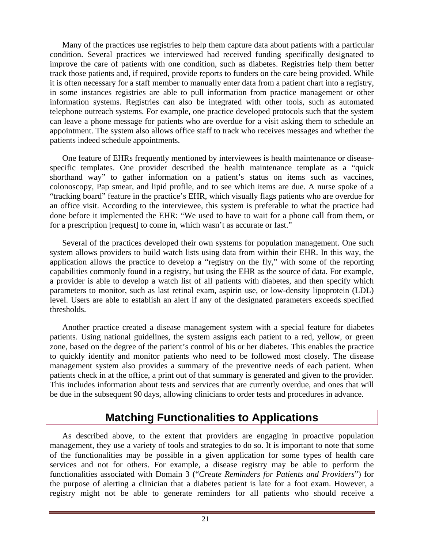<span id="page-25-0"></span>Many of the practices use registries to help them capture data about patients with a particular condition. Several practices we interviewed had received funding specifically designated to improve the care of patients with one condition, such as diabetes. Registries help them better track those patients and, if required, provide reports to funders on the care being provided. While it is often necessary for a staff member to manually enter data from a patient chart into a registry, in some instances registries are able to pull information from practice management or other information systems. Registries can also be integrated with other tools, such as automated telephone outreach systems. For example, one practice developed protocols such that the system can leave a phone message for patients who are overdue for a visit asking them to schedule an appointment. The system also allows office staff to track who receives messages and whether the patients indeed schedule appointments.

One feature of EHRs frequently mentioned by interviewees is health maintenance or diseasespecific templates. One provider described the health maintenance template as a "quick shorthand way" to gather information on a patient's status on items such as vaccines, colonoscopy, Pap smear, and lipid profile, and to see which items are due. A nurse spoke of a "tracking board" feature in the practice's EHR, which visually flags patients who are overdue for an office visit. According to the interviewee, this system is preferable to what the practice had done before it implemented the EHR: "We used to have to wait for a phone call from them, or for a prescription [request] to come in, which wasn't as accurate or fast."

Several of the practices developed their own systems for population management. One such system allows providers to build watch lists using data from within their EHR. In this way, the application allows the practice to develop a "registry on the fly," with some of the reporting capabilities commonly found in a registry, but using the EHR as the source of data. For example, a provider is able to develop a watch list of all patients with diabetes, and then specify which parameters to monitor, such as last retinal exam, aspirin use, or low-density lipoprotein (LDL) level. Users are able to establish an alert if any of the designated parameters exceeds specified thresholds.

Another practice created a disease management system with a special feature for diabetes patients. Using national guidelines, the system assigns each patient to a red, yellow, or green zone, based on the degree of the patient's control of his or her diabetes. This enables the practice to quickly identify and monitor patients who need to be followed most closely. The disease management system also provides a summary of the preventive needs of each patient. When patients check in at the office, a print out of that summary is generated and given to the provider. This includes information about tests and services that are currently overdue, and ones that will be due in the subsequent 90 days, allowing clinicians to order tests and procedures in advance.

## **Matching Functionalities to Applications**

As described above, to the extent that providers are engaging in proactive population management, they use a variety of tools and strategies to do so. It is important to note that some of the functionalities may be possible in a given application for some types of health care services and not for others. For example, a disease registry may be able to perform the functionalities associated with Domain 3 ("*Create Reminders for Patients and Providers*") for the purpose of alerting a clinician that a diabetes patient is late for a foot exam. However, a registry might not be able to generate reminders for all patients who should receive a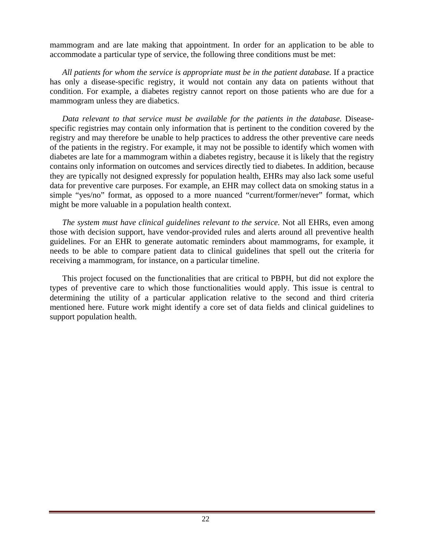mammogram and are late making that appointment. In order for an application to be able to accommodate a particular type of service, the following three conditions must be met:

*All patients for whom the service is appropriate must be in the patient database.* If a practice has only a disease-specific registry, it would not contain any data on patients without that condition. For example, a diabetes registry cannot report on those patients who are due for a mammogram unless they are diabetics.

*Data relevant to that service must be available for the patients in the database.* Diseasespecific registries may contain only information that is pertinent to the condition covered by the registry and may therefore be unable to help practices to address the other preventive care needs of the patients in the registry. For example, it may not be possible to identify which women with diabetes are late for a mammogram within a diabetes registry, because it is likely that the registry contains only information on outcomes and services directly tied to diabetes. In addition, because they are typically not designed expressly for population health, EHRs may also lack some useful data for preventive care purposes. For example, an EHR may collect data on smoking status in a simple "yes/no" format, as opposed to a more nuanced "current/former/never" format, which might be more valuable in a population health context.

*The system must have clinical guidelines relevant to the service.* Not all EHRs, even among those with decision support, have vendor-provided rules and alerts around all preventive health guidelines. For an EHR to generate automatic reminders about mammograms, for example, it needs to be able to compare patient data to clinical guidelines that spell out the criteria for receiving a mammogram, for instance, on a particular timeline.

This project focused on the functionalities that are critical to PBPH, but did not explore the types of preventive care to which those functionalities would apply. This issue is central to determining the utility of a particular application relative to the second and third criteria mentioned here. Future work might identify a core set of data fields and clinical guidelines to support population health.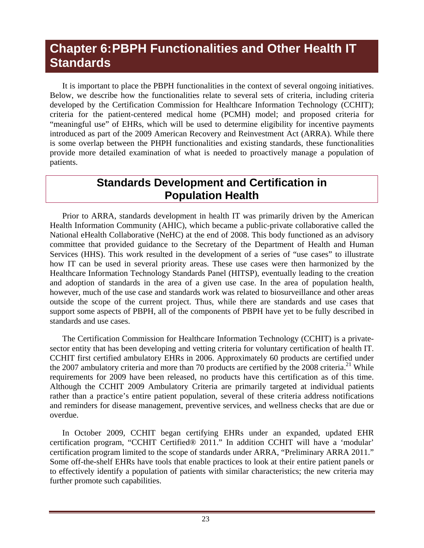# <span id="page-27-0"></span>**Chapter 6: PBPH Functionalities and Other Health IT Standards**

It is important to place the PBPH functionalities in the context of several ongoing initiatives. Below, we describe how the functionalities relate to several sets of criteria, including criteria developed by the Certification Commission for Healthcare Information Technology (CCHIT); criteria for the patient-centered medical home (PCMH) model; and proposed criteria for "meaningful use" of EHRs, which will be used to determine eligibility for incentive payments introduced as part of the 2009 American Recovery and Reinvestment Act (ARRA). While there is some overlap between the PHPH functionalities and existing standards, these functionalities provide more detailed examination of what is needed to proactively manage a population of patients.

## **Standards Development and Certification in Population Health**

Prior to ARRA, standards development in health IT was primarily driven by the American Health Information Community (AHIC), which became a public-private collaborative called the National eHealth Collaborative (NeHC) at the end of 2008. This body functioned as an advisory committee that provided guidance to the Secretary of the Department of Health and Human Services (HHS). This work resulted in the development of a series of "use cases" to illustrate how IT can be used in several priority areas. These use cases were then harmonized by the Healthcare Information Technology Standards Panel (HITSP), eventually leading to the creation and adoption of standards in the area of a given use case. In the area of population health, however, much of the use case and standards work was related to biosurveillance and other areas outside the scope of the current project. Thus, while there are standards and use cases that support some aspects of PBPH, all of the components of PBPH have yet to be fully described in standards and use cases.

The Certification Commission for Healthcare Information Technology (CCHIT) is a privatesector entity that has been developing and vetting criteria for voluntary certification of health IT. CCHIT first certified ambulatory EHRs in 2006. Approximately 60 products are certified under the 2007 ambulatory criteria and more than 70 products are certified by the 2008 criteria.<sup>21</sup> While requirements for 2009 have been released, no products have this certification as of this time. Although the CCHIT 2009 Ambulatory Criteria are primarily targeted at individual patients rather than a practice's entire patient population, several of these criteria address notifications and reminders for disease management, preventive services, and wellness checks that are due or overdue.

In October 2009, CCHIT began certifying EHRs under an expanded, updated EHR certification program, "CCHIT Certified® 2011." In addition CCHIT will have a 'modular' certification program limited to the scope of standards under ARRA, "Preliminary ARRA 2011." Some off-the-shelf EHRs have tools that enable practices to look at their entire patient panels or to effectively identify a population of patients with similar characteristics; the new criteria may further promote such capabilities.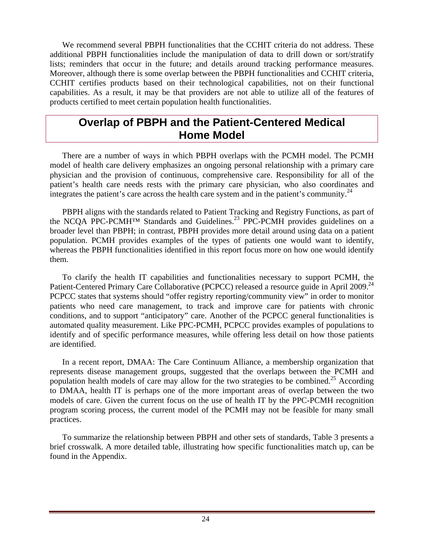<span id="page-28-0"></span>We recommend several PBPH functionalities that the CCHIT criteria do not address. These additional PBPH functionalities include the manipulation of data to drill down or sort/stratify lists; reminders that occur in the future; and details around tracking performance measures. Moreover, although there is some overlap between the PBPH functionalities and CCHIT criteria, CCHIT certifies products based on their technological capabilities, not on their functional capabilities. As a result, it may be that providers are not able to utilize all of the features of products certified to meet certain population health functionalities.

### **Overlap of PBPH and the Patient-Centered Medical Home Model**

There are a number of ways in which PBPH overlaps with the PCMH model. The PCMH model of health care delivery emphasizes an ongoing personal relationship with a primary care physician and the provision of continuous, comprehensive care. Responsibility for all of the patient's health care needs rests with the primary care physician, who also coordinates and integrates the patient's care across the health care system and in the patient's community. $^{24}$ 

PBPH aligns with the standards related to Patient Tracking and Registry Functions, as part of the NCOA PPC-PCMH<sup>TM</sup> Standards and Guidelines.<sup>23</sup> PPC-PCMH provides guidelines on a broader level than PBPH; in contrast, PBPH provides more detail around using data on a patient population. PCMH provides examples of the types of patients one would want to identify, whereas the PBPH functionalities identified in this report focus more on how one would identify them.

To clarify the health IT capabilities and functionalities necessary to support PCMH, the Patient-Centered Primary Care Collaborative (PCPCC) released a resource guide in April 2009.<sup>24</sup> PCPCC states that systems should "offer registry reporting/community view" in order to monitor patients who need care management, to track and improve care for patients with chronic conditions, and to support "anticipatory" care. Another of the PCPCC general functionalities is automated quality measurement. Like PPC-PCMH, PCPCC provides examples of populations to identify and of specific performance measures, while offering less detail on how those patients are identified.

In a recent report, DMAA: The Care Continuum Alliance, a membership organization that represents disease management groups, suggested that the overlaps between the PCMH and population health models of care may allow for the two strategies to be combined.<sup>25</sup> According to DMAA, health IT is perhaps one of the more important areas of overlap between the two models of care. Given the current focus on the use of health IT by the PPC-PCMH recognition program scoring process, the current model of the PCMH may not be feasible for many small practices.

To summarize the relationship between PBPH and other sets of standards, Table 3 presents a brief crosswalk. A more detailed table, illustrating how specific functionalities match up, can be found in the Appendix.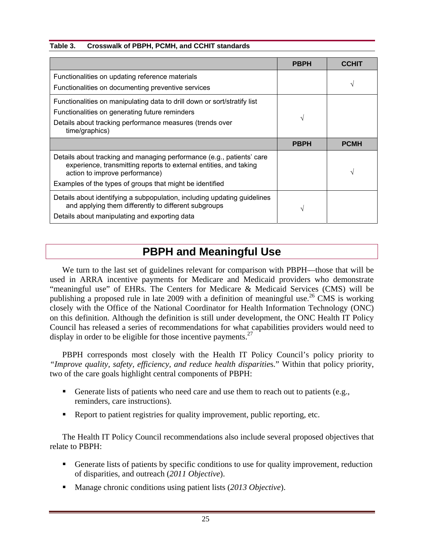#### **Table 3. Crosswalk of PBPH, PCMH, and CCHIT standards**

|                                                                                                                                                                              | <b>PBPH</b> | ССНП        |
|------------------------------------------------------------------------------------------------------------------------------------------------------------------------------|-------------|-------------|
| Functionalities on updating reference materials                                                                                                                              |             |             |
| Functionalities on documenting preventive services                                                                                                                           |             |             |
| Functionalities on manipulating data to drill down or sort/stratify list                                                                                                     |             |             |
| Functionalities on generating future reminders                                                                                                                               | N           |             |
| Details about tracking performance measures (trends over<br>time/graphics)                                                                                                   |             |             |
|                                                                                                                                                                              | <b>PBPH</b> | <b>PCMH</b> |
| Details about tracking and managing performance (e.g., patients' care<br>experience, transmitting reports to external entities, and taking<br>action to improve performance) |             |             |
| Examples of the types of groups that might be identified                                                                                                                     |             |             |
| Details about identifying a subpopulation, including updating guidelines<br>and applying them differently to different subgroups                                             | V           |             |
| Details about manipulating and exporting data                                                                                                                                |             |             |

## **PBPH and Meaningful Use**

We turn to the last set of guidelines relevant for comparison with PBPH—those that will be used in ARRA incentive payments for Medicare and Medicaid providers who demonstrate "meaningful use" of EHRs. The Centers for Medicare & Medicaid Services (CMS) will be publishing a proposed rule in late 2009 with a definition of meaningful use.<sup>26</sup> CMS is working closely with the Office of the National Coordinator for Health Information Technology (ONC) on this definition. Although the definition is still under development, the ONC Health IT Policy Council has released a series of recommendations for what capabilities providers would need to display in order to be eligible for those incentive payments.<sup>27</sup>

PBPH corresponds most closely with the Health IT Policy Council's policy priority to *"Improve quality, safety, efficiency, and reduce health disparitie*s." Within that policy priority, two of the care goals highlight central components of PBPH:

- Generate lists of patients who need care and use them to reach out to patients (e.g., reminders, care instructions).
- Report to patient registries for quality improvement, public reporting, etc.

The Health IT Policy Council recommendations also include several proposed objectives that relate to PBPH:

- Generate lists of patients by specific conditions to use for quality improvement, reduction of disparities, and outreach (*2011 Objective*).
- Manage chronic conditions using patient lists (*2013 Objective*).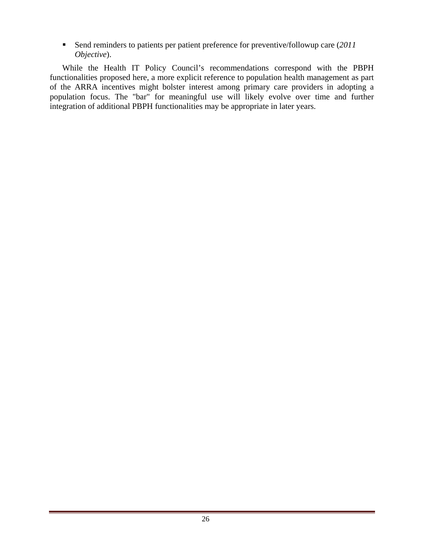Send reminders to patients per patient preference for preventive/followup care (*2011 Objective*).

While the Health IT Policy Council's recommendations correspond with the PBPH functionalities proposed here, a more explicit reference to population health management as part of the ARRA incentives might bolster interest among primary care providers in adopting a population focus. The "bar" for meaningful use will likely evolve over time and further integration of additional PBPH functionalities may be appropriate in later years.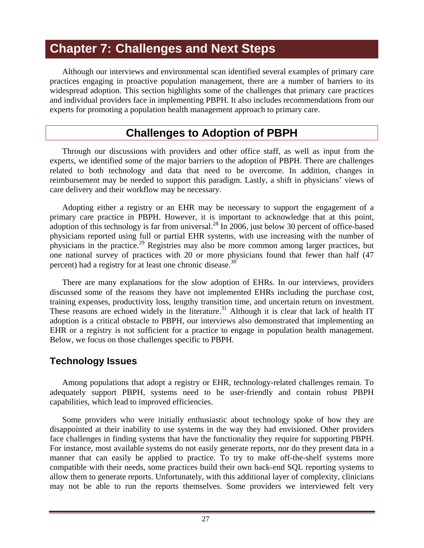# <span id="page-31-0"></span>**Chapter 7: Challenges and Next Steps**

Although our interviews and environmental scan identified several examples of primary care practices engaging in proactive population management, there are a number of barriers to its widespread adoption. This section highlights some of the challenges that primary care practices and individual providers face in implementing PBPH. It also includes recommendations from our experts for promoting a population health management approach to primary care.

## **Challenges to Adoption of PBPH**

Through our discussions with providers and other office staff, as well as input from the experts, we identified some of the major barriers to the adoption of PBPH. There are challenges related to both technology and data that need to be overcome. In addition, changes in reimbursement may be needed to support this paradigm. Lastly, a shift in physicians' views of care delivery and their workflow may be necessary.

Adopting either a registry or an EHR may be necessary to support the engagement of a primary care practice in PBPH. However, it is important to acknowledge that at this point, adoption of this technology is far from universal.<sup>28</sup> In 2006, just below 30 percent of office-based physicians reported using full or partial EHR systems, with use increasing with the number of physicians in the practice.29 Registries may also be more common among larger practices, but one national survey of practices with 20 or more physicians found that fewer than half (47 percent) had a registry for at least one chronic disease.<sup>30</sup>

There are many explanations for the slow adoption of EHRs. In our interviews, providers discussed some of the reasons they have not implemented EHRs including the purchase cost, training expenses, productivity loss, lengthy transition time, and uncertain return on investment. These reasons are echoed widely in the literature.<sup>31</sup> Although it is clear that lack of health IT adoption is a critical obstacle to PBPH, our interviews also demonstrated that implementing an EHR or a registry is not sufficient for a practice to engage in population health management. Below, we focus on those challenges specific to PBPH.

### **Technology Issues**

Among populations that adopt a registry or EHR, technology-related challenges remain. To adequately support PBPH, systems need to be user-friendly and contain robust PBPH capabilities, which lead to improved efficiencies.

Some providers who were initially enthusiastic about technology spoke of how they are disappointed at their inability to use systems in the way they had envisioned. Other providers face challenges in finding systems that have the functionality they require for supporting PBPH. For instance, most available systems do not easily generate reports, nor do they present data in a manner that can easily be applied to practice. To try to make off-the-shelf systems more compatible with their needs, some practices build their own back-end SQL reporting systems to allow them to generate reports. Unfortunately, with this additional layer of complexity, clinicians may not be able to run the reports themselves. Some providers we interviewed felt very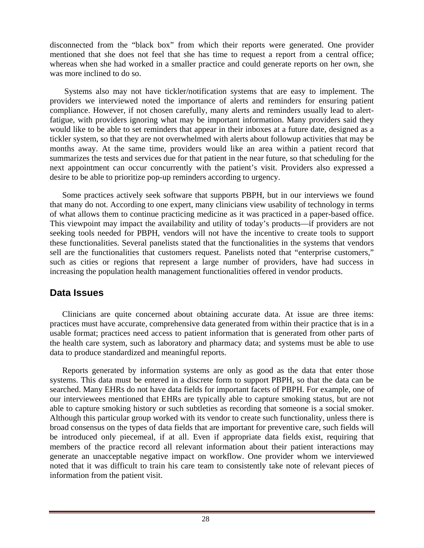<span id="page-32-0"></span>disconnected from the "black box" from which their reports were generated. One provider mentioned that she does not feel that she has time to request a report from a central office; whereas when she had worked in a smaller practice and could generate reports on her own, she was more inclined to do so.

Systems also may not have tickler/notification systems that are easy to implement. The providers we interviewed noted the importance of alerts and reminders for ensuring patient compliance. However, if not chosen carefully, many alerts and reminders usually lead to alertfatigue, with providers ignoring what may be important information. Many providers said they would like to be able to set reminders that appear in their inboxes at a future date, designed as a tickler system, so that they are not overwhelmed with alerts about followup activities that may be months away. At the same time, providers would like an area within a patient record that summarizes the tests and services due for that patient in the near future, so that scheduling for the next appointment can occur concurrently with the patient's visit. Providers also expressed a desire to be able to prioritize pop-up reminders according to urgency.

Some practices actively seek software that supports PBPH, but in our interviews we found that many do not. According to one expert, many clinicians view usability of technology in terms of what allows them to continue practicing medicine as it was practiced in a paper-based office. This viewpoint may impact the availability and utility of today's products—if providers are not seeking tools needed for PBPH, vendors will not have the incentive to create tools to support these functionalities. Several panelists stated that the functionalities in the systems that vendors sell are the functionalities that customers request. Panelists noted that "enterprise customers," such as cities or regions that represent a large number of providers, have had success in increasing the population health management functionalities offered in vendor products.

#### **Data Issues**

Clinicians are quite concerned about obtaining accurate data. At issue are three items: practices must have accurate, comprehensive data generated from within their practice that is in a usable format; practices need access to patient information that is generated from other parts of the health care system, such as laboratory and pharmacy data; and systems must be able to use data to produce standardized and meaningful reports.

Reports generated by information systems are only as good as the data that enter those systems. This data must be entered in a discrete form to support PBPH, so that the data can be searched. Many EHRs do not have data fields for important facets of PBPH. For example, one of our interviewees mentioned that EHRs are typically able to capture smoking status, but are not able to capture smoking history or such subtleties as recording that someone is a social smoker. Although this particular group worked with its vendor to create such functionality, unless there is broad consensus on the types of data fields that are important for preventive care, such fields will be introduced only piecemeal, if at all. Even if appropriate data fields exist, requiring that members of the practice record all relevant information about their patient interactions may generate an unacceptable negative impact on workflow. One provider whom we interviewed noted that it was difficult to train his care team to consistently take note of relevant pieces of information from the patient visit.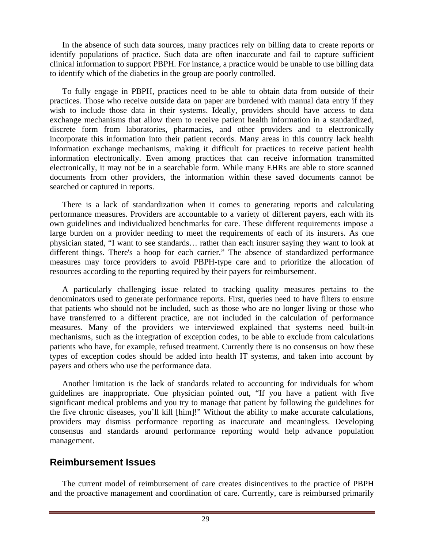<span id="page-33-0"></span>In the absence of such data sources, many practices rely on billing data to create reports or identify populations of practice. Such data are often inaccurate and fail to capture sufficient clinical information to support PBPH. For instance, a practice would be unable to use billing data to identify which of the diabetics in the group are poorly controlled.

To fully engage in PBPH, practices need to be able to obtain data from outside of their practices. Those who receive outside data on paper are burdened with manual data entry if they wish to include those data in their systems. Ideally, providers should have access to data exchange mechanisms that allow them to receive patient health information in a standardized, discrete form from laboratories, pharmacies, and other providers and to electronically incorporate this information into their patient records. Many areas in this country lack health information exchange mechanisms, making it difficult for practices to receive patient health information electronically. Even among practices that can receive information transmitted electronically, it may not be in a searchable form. While many EHRs are able to store scanned documents from other providers, the information within these saved documents cannot be searched or captured in reports.

There is a lack of standardization when it comes to generating reports and calculating performance measures. Providers are accountable to a variety of different payers, each with its own guidelines and individualized benchmarks for care. These different requirements impose a large burden on a provider needing to meet the requirements of each of its insurers. As one physician stated, "I want to see standards… rather than each insurer saying they want to look at different things. There's a hoop for each carrier." The absence of standardized performance measures may force providers to avoid PBPH-type care and to prioritize the allocation of resources according to the reporting required by their payers for reimbursement.

A particularly challenging issue related to tracking quality measures pertains to the denominators used to generate performance reports. First, queries need to have filters to ensure that patients who should not be included, such as those who are no longer living or those who have transferred to a different practice, are not included in the calculation of performance measures. Many of the providers we interviewed explained that systems need built-in mechanisms, such as the integration of exception codes, to be able to exclude from calculations patients who have, for example, refused treatment. Currently there is no consensus on how these types of exception codes should be added into health IT systems, and taken into account by payers and others who use the performance data.

Another limitation is the lack of standards related to accounting for individuals for whom guidelines are inappropriate. One physician pointed out, "If you have a patient with five significant medical problems and you try to manage that patient by following the guidelines for the five chronic diseases, you'll kill [him]!" Without the ability to make accurate calculations, providers may dismiss performance reporting as inaccurate and meaningless. Developing consensus and standards around performance reporting would help advance population management.

### **Reimbursement Issues**

The current model of reimbursement of care creates disincentives to the practice of PBPH and the proactive management and coordination of care. Currently, care is reimbursed primarily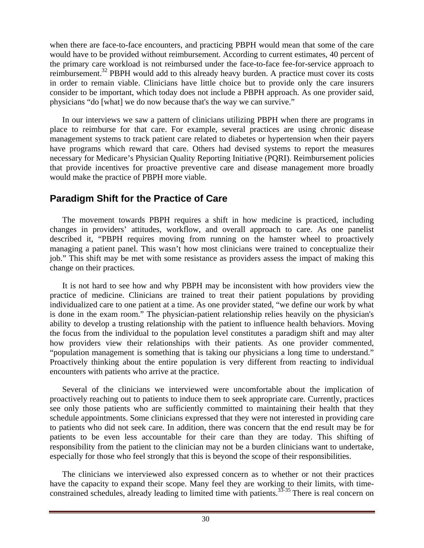<span id="page-34-0"></span>when there are face-to-face encounters, and practicing PBPH would mean that some of the care would have to be provided without reimbursement. According to current estimates, 40 percent of the primary care workload is not reimbursed under the face-to-face fee-for-service approach to reimbursement.32 PBPH would add to this already heavy burden. A practice must cover its costs in order to remain viable. Clinicians have little choice but to provide only the care insurers consider to be important, which today does not include a PBPH approach. As one provider said, physicians "do [what] we do now because that's the way we can survive."

In our interviews we saw a pattern of clinicians utilizing PBPH when there are programs in place to reimburse for that care. For example, several practices are using chronic disease management systems to track patient care related to diabetes or hypertension when their payers have programs which reward that care. Others had devised systems to report the measures necessary for Medicare's Physician Quality Reporting Initiative (PQRI). Reimbursement policies that provide incentives for proactive preventive care and disease management more broadly would make the practice of PBPH more viable.

### **Paradigm Shift for the Practice of Care**

The movement towards PBPH requires a shift in how medicine is practiced, including changes in providers' attitudes, workflow, and overall approach to care. As one panelist described it, "PBPH requires moving from running on the hamster wheel to proactively managing a patient panel. This wasn't how most clinicians were trained to conceptualize their job." This shift may be met with some resistance as providers assess the impact of making this change on their practices.

It is not hard to see how and why PBPH may be inconsistent with how providers view the practice of medicine. Clinicians are trained to treat their patient populations by providing individualized care to one patient at a time. As one provider stated, "we define our work by what is done in the exam room." The physician-patient relationship relies heavily on the physician's ability to develop a trusting relationship with the patient to influence health behaviors. Moving the focus from the individual to the population level constitutes a paradigm shift and may alter how providers view their relationships with their patients. As one provider commented, "population management is something that is taking our physicians a long time to understand." Proactively thinking about the entire population is very different from reacting to individual encounters with patients who arrive at the practice.

Several of the clinicians we interviewed were uncomfortable about the implication of proactively reaching out to patients to induce them to seek appropriate care. Currently, practices see only those patients who are sufficiently committed to maintaining their health that they schedule appointments. Some clinicians expressed that they were not interested in providing care to patients who did not seek care. In addition, there was concern that the end result may be for patients to be even less accountable for their care than they are today. This shifting of responsibility from the patient to the clinician may not be a burden clinicians want to undertake, especially for those who feel strongly that this is beyond the scope of their responsibilities.

The clinicians we interviewed also expressed concern as to whether or not their practices have the capacity to expand their scope. Many feel they are working to their limits, with timeconstrained schedules, already leading to limited time with patients.<sup>33-35</sup> There is real concern on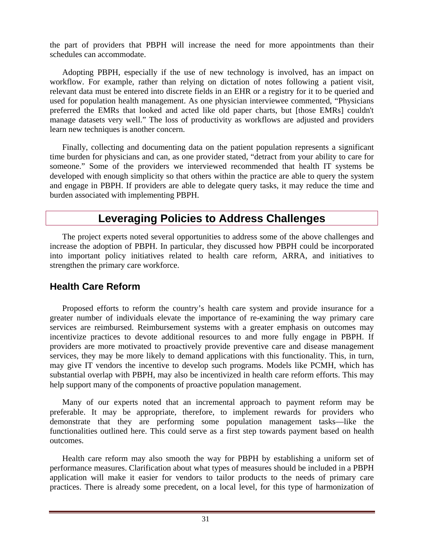<span id="page-35-0"></span>the part of providers that PBPH will increase the need for more appointments than their schedules can accommodate.

Adopting PBPH, especially if the use of new technology is involved, has an impact on workflow. For example, rather than relying on dictation of notes following a patient visit, relevant data must be entered into discrete fields in an EHR or a registry for it to be queried and used for population health management. As one physician interviewee commented, "Physicians preferred the EMRs that looked and acted like old paper charts, but [those EMRs] couldn't manage datasets very well." The loss of productivity as workflows are adjusted and providers learn new techniques is another concern.

Finally, collecting and documenting data on the patient population represents a significant time burden for physicians and can, as one provider stated, "detract from your ability to care for someone." Some of the providers we interviewed recommended that health IT systems be developed with enough simplicity so that others within the practice are able to query the system and engage in PBPH. If providers are able to delegate query tasks, it may reduce the time and burden associated with implementing PBPH.

## **Leveraging Policies to Address Challenges**

The project experts noted several opportunities to address some of the above challenges and increase the adoption of PBPH. In particular, they discussed how PBPH could be incorporated into important policy initiatives related to health care reform, ARRA, and initiatives to strengthen the primary care workforce.

#### **Health Care Reform**

Proposed efforts to reform the country's health care system and provide insurance for a greater number of individuals elevate the importance of re-examining the way primary care services are reimbursed. Reimbursement systems with a greater emphasis on outcomes may incentivize practices to devote additional resources to and more fully engage in PBPH. If providers are more motivated to proactively provide preventive care and disease management services, they may be more likely to demand applications with this functionality. This, in turn, may give IT vendors the incentive to develop such programs. Models like PCMH, which has substantial overlap with PBPH, may also be incentivized in health care reform efforts. This may help support many of the components of proactive population management.

Many of our experts noted that an incremental approach to payment reform may be preferable. It may be appropriate, therefore, to implement rewards for providers who demonstrate that they are performing some population management tasks—like the functionalities outlined here. This could serve as a first step towards payment based on health outcomes.

Health care reform may also smooth the way for PBPH by establishing a uniform set of performance measures. Clarification about what types of measures should be included in a PBPH application will make it easier for vendors to tailor products to the needs of primary care practices. There is already some precedent, on a local level, for this type of harmonization of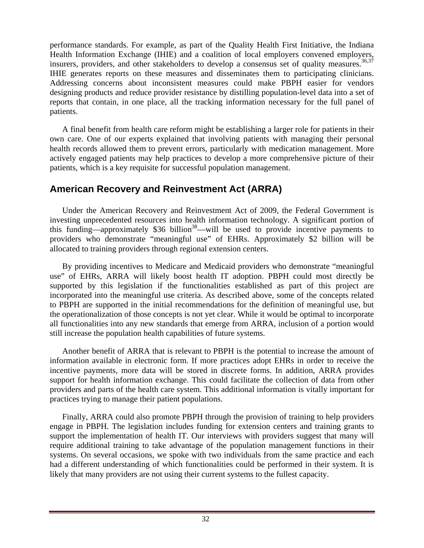<span id="page-36-0"></span>performance standards. For example, as part of the Quality Health First Initiative, the Indiana Health Information Exchange (IHIE) and a coalition of local employers convened employers, insurers, providers, and other stakeholders to develop a consensus set of quality measures.<sup>36,37</sup> IHIE generates reports on these measures and disseminates them to participating clinicians. Addressing concerns about inconsistent measures could make PBPH easier for vendors designing products and reduce provider resistance by distilling population-level data into a set of reports that contain, in one place, all the tracking information necessary for the full panel of patients.

A final benefit from health care reform might be establishing a larger role for patients in their own care. One of our experts explained that involving patients with managing their personal health records allowed them to prevent errors, particularly with medication management. More actively engaged patients may help practices to develop a more comprehensive picture of their patients, which is a key requisite for successful population management.

### **American Recovery and Reinvestment Act (ARRA)**

Under the American Recovery and Reinvestment Act of 2009, the Federal Government is investing unprecedented resources into health information technology. A significant portion of this funding—approximately \$36 billion<sup>38</sup>—will be used to provide incentive payments to providers who demonstrate "meaningful use" of EHRs. Approximately \$2 billion will be allocated to training providers through regional extension centers.

By providing incentives to Medicare and Medicaid providers who demonstrate "meaningful use" of EHRs, ARRA will likely boost health IT adoption. PBPH could most directly be supported by this legislation if the functionalities established as part of this project are incorporated into the meaningful use criteria. As described above, some of the concepts related to PBPH are supported in the initial recommendations for the definition of meaningful use, but the operationalization of those concepts is not yet clear. While it would be optimal to incorporate all functionalities into any new standards that emerge from ARRA, inclusion of a portion would still increase the population health capabilities of future systems.

Another benefit of ARRA that is relevant to PBPH is the potential to increase the amount of information available in electronic form. If more practices adopt EHRs in order to receive the incentive payments, more data will be stored in discrete forms. In addition, ARRA provides support for health information exchange. This could facilitate the collection of data from other providers and parts of the health care system. This additional information is vitally important for practices trying to manage their patient populations.

Finally, ARRA could also promote PBPH through the provision of training to help providers engage in PBPH. The legislation includes funding for extension centers and training grants to support the implementation of health IT. Our interviews with providers suggest that many will require additional training to take advantage of the population management functions in their systems. On several occasions, we spoke with two individuals from the same practice and each had a different understanding of which functionalities could be performed in their system. It is likely that many providers are not using their current systems to the fullest capacity.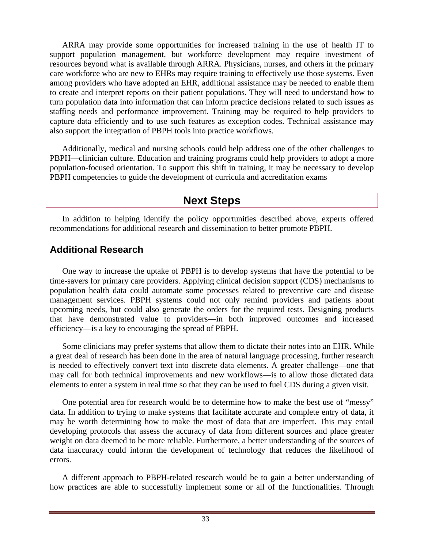<span id="page-37-0"></span>ARRA may provide some opportunities for increased training in the use of health IT to support population management, but workforce development may require investment of resources beyond what is available through ARRA. Physicians, nurses, and others in the primary care workforce who are new to EHRs may require training to effectively use those systems. Even among providers who have adopted an EHR, additional assistance may be needed to enable them to create and interpret reports on their patient populations. They will need to understand how to turn population data into information that can inform practice decisions related to such issues as staffing needs and performance improvement. Training may be required to help providers to capture data efficiently and to use such features as exception codes. Technical assistance may also support the integration of PBPH tools into practice workflows.

Additionally, medical and nursing schools could help address one of the other challenges to PBPH—clinician culture. Education and training programs could help providers to adopt a more population-focused orientation. To support this shift in training, it may be necessary to develop PBPH competencies to guide the development of curricula and accreditation exams

## **Next Steps**

In addition to helping identify the policy opportunities described above, experts offered recommendations for additional research and dissemination to better promote PBPH.

### **Additional Research**

One way to increase the uptake of PBPH is to develop systems that have the potential to be time-savers for primary care providers. Applying clinical decision support (CDS) mechanisms to population health data could automate some processes related to preventive care and disease management services. PBPH systems could not only remind providers and patients about upcoming needs, but could also generate the orders for the required tests. Designing products that have demonstrated value to providers—in both improved outcomes and increased efficiency—is a key to encouraging the spread of PBPH.

Some clinicians may prefer systems that allow them to dictate their notes into an EHR. While a great deal of research has been done in the area of natural language processing, further research is needed to effectively convert text into discrete data elements. A greater challenge—one that may call for both technical improvements and new workflows—is to allow those dictated data elements to enter a system in real time so that they can be used to fuel CDS during a given visit.

One potential area for research would be to determine how to make the best use of "messy" data. In addition to trying to make systems that facilitate accurate and complete entry of data, it may be worth determining how to make the most of data that are imperfect. This may entail developing protocols that assess the accuracy of data from different sources and place greater weight on data deemed to be more reliable. Furthermore, a better understanding of the sources of data inaccuracy could inform the development of technology that reduces the likelihood of errors.

A different approach to PBPH-related research would be to gain a better understanding of how practices are able to successfully implement some or all of the functionalities. Through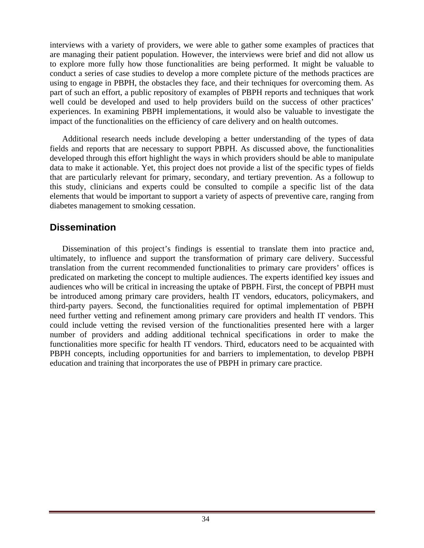<span id="page-38-0"></span>interviews with a variety of providers, we were able to gather some examples of practices that are managing their patient population. However, the interviews were brief and did not allow us to explore more fully how those functionalities are being performed. It might be valuable to conduct a series of case studies to develop a more complete picture of the methods practices are using to engage in PBPH, the obstacles they face, and their techniques for overcoming them. As part of such an effort, a public repository of examples of PBPH reports and techniques that work well could be developed and used to help providers build on the success of other practices' experiences. In examining PBPH implementations, it would also be valuable to investigate the impact of the functionalities on the efficiency of care delivery and on health outcomes.

Additional research needs include developing a better understanding of the types of data fields and reports that are necessary to support PBPH. As discussed above, the functionalities developed through this effort highlight the ways in which providers should be able to manipulate data to make it actionable. Yet, this project does not provide a list of the specific types of fields that are particularly relevant for primary, secondary, and tertiary prevention. As a followup to this study, clinicians and experts could be consulted to compile a specific list of the data elements that would be important to support a variety of aspects of preventive care, ranging from diabetes management to smoking cessation.

### **Dissemination**

Dissemination of this project's findings is essential to translate them into practice and, ultimately, to influence and support the transformation of primary care delivery. Successful translation from the current recommended functionalities to primary care providers' offices is predicated on marketing the concept to multiple audiences. The experts identified key issues and audiences who will be critical in increasing the uptake of PBPH. First, the concept of PBPH must be introduced among primary care providers, health IT vendors, educators, policymakers, and third-party payers. Second, the functionalities required for optimal implementation of PBPH need further vetting and refinement among primary care providers and health IT vendors. This could include vetting the revised version of the functionalities presented here with a larger number of providers and adding additional technical specifications in order to make the functionalities more specific for health IT vendors. Third, educators need to be acquainted with PBPH concepts, including opportunities for and barriers to implementation, to develop PBPH education and training that incorporates the use of PBPH in primary care practice.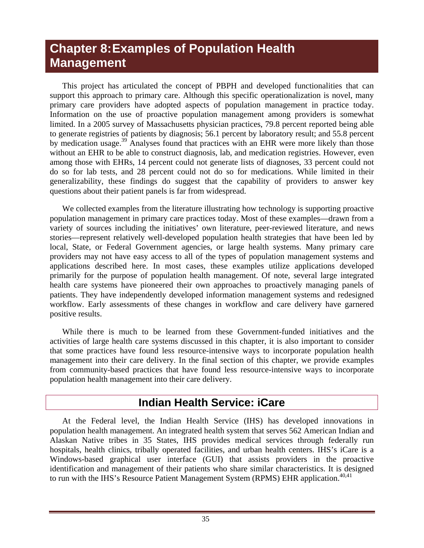# <span id="page-39-0"></span>**Chapter 8: Examples of Population Health Management**

This project has articulated the concept of PBPH and developed functionalities that can support this approach to primary care. Although this specific operationalization is novel, many primary care providers have adopted aspects of population management in practice today. Information on the use of proactive population management among providers is somewhat limited. In a 2005 survey of Massachusetts physician practices, 79.8 percent reported being able to generate registries of patients by diagnosis; 56.1 percent by laboratory result; and 55.8 percent by medication usage.<sup>39</sup> Analyses found that practices with an EHR were more likely than those without an EHR to be able to construct diagnosis, lab, and medication registries. However, even among those with EHRs, 14 percent could not generate lists of diagnoses, 33 percent could not do so for lab tests, and 28 percent could not do so for medications. While limited in their generalizability, these findings do suggest that the capability of providers to answer key questions about their patient panels is far from widespread.

We collected examples from the literature illustrating how technology is supporting proactive population management in primary care practices today. Most of these examples—drawn from a variety of sources including the initiatives' own literature, peer-reviewed literature, and news stories—represent relatively well-developed population health strategies that have been led by local, State, or Federal Government agencies, or large health systems. Many primary care providers may not have easy access to all of the types of population management systems and applications described here. In most cases, these examples utilize applications developed primarily for the purpose of population health management. Of note, several large integrated health care systems have pioneered their own approaches to proactively managing panels of patients. They have independently developed information management systems and redesigned workflow. Early assessments of these changes in workflow and care delivery have garnered positive results.

While there is much to be learned from these Government-funded initiatives and the activities of large health care systems discussed in this chapter, it is also important to consider that some practices have found less resource-intensive ways to incorporate population health management into their care delivery. In the final section of this chapter, we provide examples from community-based practices that have found less resource-intensive ways to incorporate population health management into their care delivery.

## **Indian Health Service: iCare**

At the Federal level, the Indian Health Service (IHS) has developed innovations in population health management. An integrated health system that serves 562 American Indian and Alaskan Native tribes in 35 States, IHS provides medical services through federally run hospitals, health clinics, tribally operated facilities, and urban health centers. IHS's iCare is a Windows-based graphical user interface (GUI) that assists providers in the proactive identification and management of their patients who share similar characteristics. It is designed to run with the IHS's Resource Patient Management System (RPMS) EHR application.<sup>40,41</sup>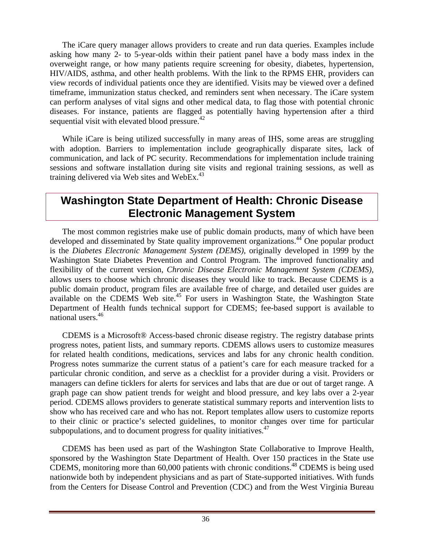<span id="page-40-0"></span>The iCare query manager allows providers to create and run data queries. Examples include asking how many 2- to 5-year-olds within their patient panel have a body mass index in the overweight range, or how many patients require screening for obesity, diabetes, hypertension, HIV/AIDS, asthma, and other health problems. With the link to the RPMS EHR, providers can view records of individual patients once they are identified. Visits may be viewed over a defined timeframe, immunization status checked, and reminders sent when necessary. The iCare system can perform analyses of vital signs and other medical data, to flag those with potential chronic diseases. For instance, patients are flagged as potentially having hypertension after a third sequential visit with elevated blood pressure. $42$ 

While iCare is being utilized successfully in many areas of IHS, some areas are struggling with adoption. Barriers to implementation include geographically disparate sites, lack of communication, and lack of PC security. Recommendations for implementation include training sessions and software installation during site visits and regional training sessions, as well as training delivered via Web sites and WebEx.<sup>43</sup>

## **Washington State Department of Health: Chronic Disease Electronic Management System**

The most common registries make use of public domain products, many of which have been developed and disseminated by State quality improvement organizations.<sup>44</sup> One popular product is the *Diabetes Electronic Management System (DEMS),* originally developed in 1999 by the Washington State Diabetes Prevention and Control Program. The improved functionality and flexibility of the current version, *Chronic Disease Electronic Management System (CDEMS)*, allows users to choose which chronic diseases they would like to track. Because CDEMS is a public domain product, program files are available free of charge, and detailed user guides are available on the CDEMS Web site.<sup>45</sup> For users in Washington State, the Washington State Department of Health funds technical support for CDEMS; fee-based support is available to national users.46

CDEMS is a Microsoft® Access-based chronic disease registry. The registry database prints progress notes, patient lists, and summary reports. CDEMS allows users to customize measures for related health conditions, medications, services and labs for any chronic health condition. Progress notes summarize the current status of a patient's care for each measure tracked for a particular chronic condition, and serve as a checklist for a provider during a visit. Providers or managers can define ticklers for alerts for services and labs that are due or out of target range. A graph page can show patient trends for weight and blood pressure, and key labs over a 2-year period. CDEMS allows providers to generate statistical summary reports and intervention lists to show who has received care and who has not. Report templates allow users to customize reports to their clinic or practice's selected guidelines, to monitor changes over time for particular subpopulations, and to document progress for quality initiatives.  $47$ 

CDEMS has been used as part of the Washington State Collaborative to Improve Health, sponsored by the Washington State Department of Health. Over 150 practices in the State use CDEMS, monitoring more than 60,000 patients with chronic conditions.48 CDEMS is being used nationwide both by independent physicians and as part of State-supported initiatives. With funds from the Centers for Disease Control and Prevention (CDC) and from the West Virginia Bureau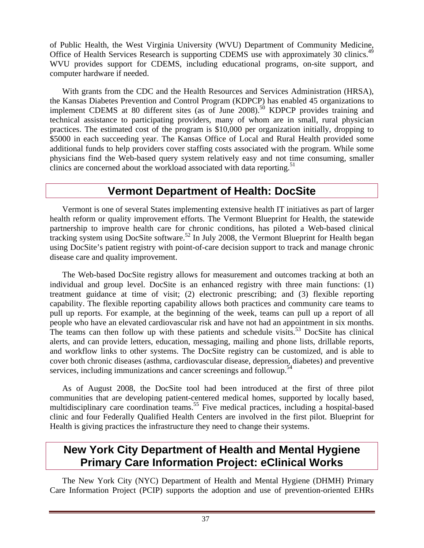<span id="page-41-0"></span>of Public Health, the West Virginia University (WVU) Department of Community Medicine, Office of Health Services Research is supporting CDEMS use with approximately 30 clinics.<sup>49</sup> WVU provides support for CDEMS, including educational programs, on-site support, and computer hardware if needed.

With grants from the CDC and the Health Resources and Services Administration (HRSA), the Kansas Diabetes Prevention and Control Program (KDPCP) has enabled 45 organizations to implement CDEMS at 80 different sites (as of June  $2008$ ).<sup>50</sup> KDPCP provides training and technical assistance to participating providers, many of whom are in small, rural physician practices. The estimated cost of the program is \$10,000 per organization initially, dropping to \$5000 in each succeeding year. The Kansas Office of Local and Rural Health provided some additional funds to help providers cover staffing costs associated with the program. While some physicians find the Web-based query system relatively easy and not time consuming, smaller clinics are concerned about the workload associated with data reporting.<sup>51</sup>

## **Vermont Department of Health: DocSite**

Vermont is one of several States implementing extensive health IT initiatives as part of larger health reform or quality improvement efforts. The Vermont Blueprint for Health, the statewide partnership to improve health care for chronic conditions, has piloted a Web-based clinical tracking system using DocSite software.<sup>52</sup> In July 2008, the Vermont Blueprint for Health began using DocSite's patient registry with point-of-care decision support to track and manage chronic disease care and quality improvement.

The Web-based DocSite registry allows for measurement and outcomes tracking at both an individual and group level. DocSite is an enhanced registry with three main functions: (1) treatment guidance at time of visit; (2) electronic prescribing; and (3) flexible reporting capability. The flexible reporting capability allows both practices and community care teams to pull up reports. For example, at the beginning of the week, teams can pull up a report of all people who have an elevated cardiovascular risk and have not had an appointment in six months. The teams can then follow up with these patients and schedule visits.<sup>53</sup> DocSite has clinical alerts, and can provide letters, education, messaging, mailing and phone lists, drillable reports, and workflow links to other systems. The DocSite registry can be customized, and is able to cover both chronic diseases (asthma, cardiovascular disease, depression, diabetes) and preventive services, including immunizations and cancer screenings and followup.<sup>54</sup>

As of August 2008, the DocSite tool had been introduced at the first of three pilot communities that are developing patient-centered medical homes, supported by locally based, multidisciplinary care coordination teams.<sup>55</sup> Five medical practices, including a hospital-based clinic and four Federally Qualified Health Centers are involved in the first pilot. Blueprint for Health is giving practices the infrastructure they need to change their systems.

## **New York City Department of Health and Mental Hygiene Primary Care Information Project: eClinical Works**

The New York City (NYC) Department of Health and Mental Hygiene (DHMH) Primary Care Information Project (PCIP) supports the adoption and use of prevention-oriented EHRs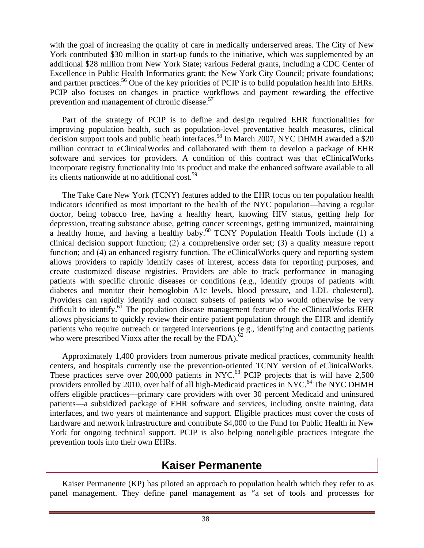<span id="page-42-0"></span>with the goal of increasing the quality of care in medically underserved areas. The City of New York contributed \$30 million in start-up funds to the initiative, which was supplemented by an additional \$28 million from New York State; various Federal grants, including a CDC Center of Excellence in Public Health Informatics grant; the New York City Council; private foundations; and partner practices.<sup>56</sup> One of the key priorities of PCIP is to build population health into EHRs. PCIP also focuses on changes in practice workflows and payment rewarding the effective prevention and management of chronic disease.<sup>57</sup>

Part of the strategy of PCIP is to define and design required EHR functionalities for improving population health, such as population-level preventative health measures, clinical decision support tools and public heath interfaces.<sup>58</sup> In March 2007, NYC DHMH awarded a \$20 million contract to eClinicalWorks and collaborated with them to develop a package of EHR software and services for providers. A condition of this contract was that eClinicalWorks incorporate registry functionality into its product and make the enhanced software available to all its clients nationwide at no additional cost.<sup>59</sup>

The Take Care New York (TCNY) features added to the EHR focus on ten population health indicators identified as most important to the health of the NYC population—having a regular doctor, being tobacco free, having a healthy heart, knowing HIV status, getting help for depression, treating substance abuse, getting cancer screenings, getting immunized, maintaining a healthy home, and having a healthy baby. $60$  TCNY Population Health Tools include (1) a clinical decision support function; (2) a comprehensive order set; (3) a quality measure report function; and (4) an enhanced registry function. The eClinicalWorks query and reporting system allows providers to rapidly identify cases of interest, access data for reporting purposes, and create customized disease registries. Providers are able to track performance in managing patients with specific chronic diseases or conditions (e.g., identify groups of patients with diabetes and monitor their hemoglobin A1c levels, blood pressure, and LDL cholesterol). Providers can rapidly identify and contact subsets of patients who would otherwise be very difficult to identify.<sup>61</sup> The population disease management feature of the eClinicalWorks EHR allows physicians to quickly review their entire patient population through the EHR and identify patients who require outreach or targeted interventions (e.g., identifying and contacting patients who were prescribed Vioxx after the recall by the FDA). $^{62}$ 

Approximately 1,400 providers from numerous private medical practices, community health centers, and hospitals currently use the prevention-oriented TCNY version of eClinicalWorks. These practices serve over  $200,000$  patients in NYC.<sup>63</sup> PCIP projects that is will have 2,500 providers enrolled by 2010, over half of all high-Medicaid practices in NYC.<sup>64</sup> The NYC DHMH offers eligible practices—primary care providers with over 30 percent Medicaid and uninsured patients—a subsidized package of EHR software and services, including onsite training, data interfaces, and two years of maintenance and support. Eligible practices must cover the costs of hardware and network infrastructure and contribute \$4,000 to the Fund for Public Health in New York for ongoing technical support. PCIP is also helping noneligible practices integrate the prevention tools into their own EHRs.

### **Kaiser Permanente**

Kaiser Permanente (KP) has piloted an approach to population health which they refer to as panel management. They define panel management as "a set of tools and processes for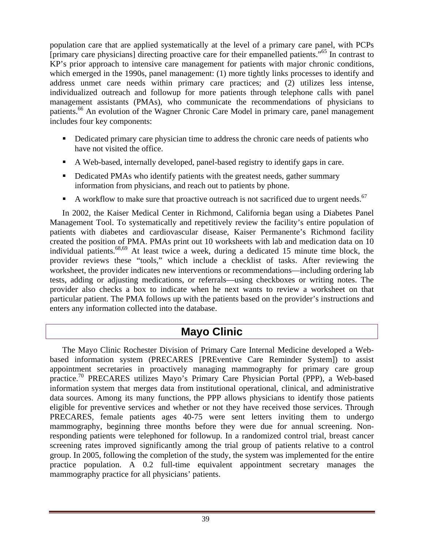<span id="page-43-0"></span>population care that are applied systematically at the level of a primary care panel, with PCPs [primary care physicians] directing proactive care for their empanelled patients."65 In contrast to KP's prior approach to intensive care management for patients with major chronic conditions, which emerged in the 1990s, panel management: (1) more tightly links processes to identify and address unmet care needs within primary care practices; and (2) utilizes less intense, individualized outreach and followup for more patients through telephone calls with panel management assistants (PMAs), who communicate the recommendations of physicians to patients.<sup>66</sup> An evolution of the Wagner Chronic Care Model in primary care, panel management includes four key components:

- Dedicated primary care physician time to address the chronic care needs of patients who have not visited the office.
- A Web-based, internally developed, panel-based registry to identify gaps in care.
- Dedicated PMAs who identify patients with the greatest needs, gather summary information from physicians, and reach out to patients by phone.
- A workflow to make sure that proactive outreach is not sacrificed due to urgent needs.<sup>67</sup>

In 2002, the Kaiser Medical Center in Richmond, California began using a Diabetes Panel Management Tool. To systematically and repetitively review the facility's entire population of patients with diabetes and cardiovascular disease, Kaiser Permanente's Richmond facility created the position of PMA. PMAs print out 10 worksheets with lab and medication data on 10 individual patients.68,69 At least twice a week, during a dedicated 15 minute time block, the provider reviews these "tools," which include a checklist of tasks. After reviewing the worksheet, the provider indicates new interventions or recommendations—including ordering lab tests, adding or adjusting medications, or referrals—using checkboxes or writing notes. The provider also checks a box to indicate when he next wants to review a worksheet on that particular patient. The PMA follows up with the patients based on the provider's instructions and enters any information collected into the database.

# **Mayo Clinic**

The Mayo Clinic Rochester Division of Primary Care Internal Medicine developed a Webbased information system (PRECARES [PREventive Care Reminder System]) to assist appointment secretaries in proactively managing mammography for primary care group practice.70 PRECARES utilizes Mayo's Primary Care Physician Portal (PPP), a Web-based information system that merges data from institutional operational, clinical, and administrative data sources. Among its many functions, the PPP allows physicians to identify those patients eligible for preventive services and whether or not they have received those services. Through PRECARES, female patients ages 40-75 were sent letters inviting them to undergo mammography, beginning three months before they were due for annual screening. Nonresponding patients were telephoned for followup. In a randomized control trial, breast cancer screening rates improved significantly among the trial group of patients relative to a control group. In 2005, following the completion of the study, the system was implemented for the entire practice population. A 0.2 full-time equivalent appointment secretary manages the mammography practice for all physicians' patients.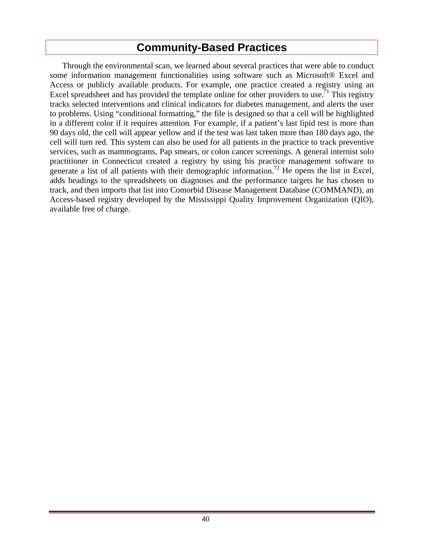## **Community-Based Practices**

<span id="page-44-0"></span>Through the environmental scan, we learned about several practices that were able to conduct some information management functionalities using software such as Microsoft® Excel and Access or publicly available products. For example, one practice created a registry using an Excel spreadsheet and has provided the template online for other providers to use.<sup>71</sup> This registry tracks selected interventions and clinical indicators for diabetes management, and alerts the user to problems. Using "conditional formatting," the file is designed so that a cell will be highlighted in a different color if it requires attention. For example, if a patient's last lipid test is more than 90 days old, the cell will appear yellow and if the test was last taken more than 180 days ago, the cell will turn red. This system can also be used for all patients in the practice to track preventive services, such as mammograms, Pap smears, or colon cancer screenings. A general internist solo practitioner in Connecticut created a registry by using his practice management software to generate a list of all patients with their demographic information.<sup>72</sup> He opens the list in Excel, adds headings to the spreadsheets on diagnoses and the performance targets he has chosen to track, and then imports that list into Comorbid Disease Management Database (COMMAND), an Access-based registry developed by the Mississippi Quality Improvement Organization (QIO), available free of charge.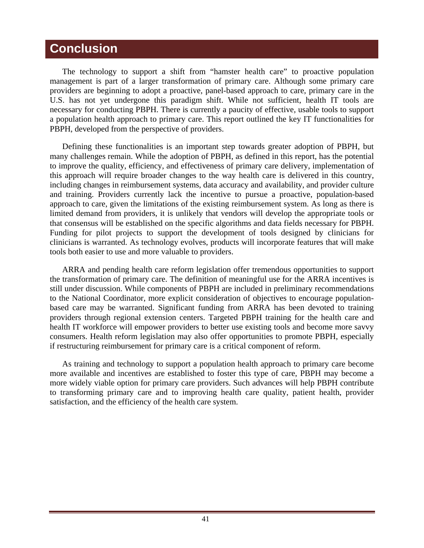## <span id="page-45-0"></span>**Conclusion**

The technology to support a shift from "hamster health care" to proactive population management is part of a larger transformation of primary care. Although some primary care providers are beginning to adopt a proactive, panel-based approach to care, primary care in the U.S. has not yet undergone this paradigm shift. While not sufficient, health IT tools are necessary for conducting PBPH. There is currently a paucity of effective, usable tools to support a population health approach to primary care. This report outlined the key IT functionalities for PBPH, developed from the perspective of providers.

Defining these functionalities is an important step towards greater adoption of PBPH, but many challenges remain. While the adoption of PBPH, as defined in this report, has the potential to improve the quality, efficiency, and effectiveness of primary care delivery, implementation of this approach will require broader changes to the way health care is delivered in this country, including changes in reimbursement systems, data accuracy and availability, and provider culture and training. Providers currently lack the incentive to pursue a proactive, population-based approach to care, given the limitations of the existing reimbursement system. As long as there is limited demand from providers, it is unlikely that vendors will develop the appropriate tools or that consensus will be established on the specific algorithms and data fields necessary for PBPH. Funding for pilot projects to support the development of tools designed by clinicians for clinicians is warranted. As technology evolves, products will incorporate features that will make tools both easier to use and more valuable to providers.

ARRA and pending health care reform legislation offer tremendous opportunities to support the transformation of primary care. The definition of meaningful use for the ARRA incentives is still under discussion. While components of PBPH are included in preliminary recommendations to the National Coordinator, more explicit consideration of objectives to encourage populationbased care may be warranted. Significant funding from ARRA has been devoted to training providers through regional extension centers. Targeted PBPH training for the health care and health IT workforce will empower providers to better use existing tools and become more savvy consumers. Health reform legislation may also offer opportunities to promote PBPH, especially if restructuring reimbursement for primary care is a critical component of reform.

As training and technology to support a population health approach to primary care become more available and incentives are established to foster this type of care, PBPH may become a more widely viable option for primary care providers. Such advances will help PBPH contribute to transforming primary care and to improving health care quality, patient health, provider satisfaction, and the efficiency of the health care system.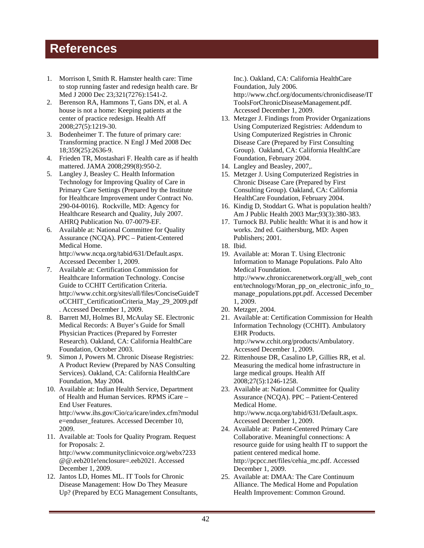# <span id="page-46-0"></span>**References**

- 1. Morrison I, Smith R. Hamster health care: Time to stop running faster and redesign health care. Br Med J 2000 Dec 23;321(7276):1541-2.
- 2. Berenson RA, Hammons T, Gans DN, et al. A house is not a home: Keeping patients at the center of practice redesign. Health Aff 2008;27(5):1219-30.
- 3. Bodenheimer T. The future of primary care: Transforming practice. N Engl J Med 2008 Dec 18;359(25):2636-9.
- 4. Frieden TR, Mostashari F. Health care as if health mattered. JAMA 2008;299(8):950-2.
- 5. Langley J, Beasley C. Health Information Technology for Improving Quality of Care in Primary Care Settings (Prepared by the Institute for Healthcare Improvement under Contract No. 290-04-0016). Rockville, MD: Agency for Healthcare Research and Quality, July 2007. AHRQ Publication No. 07-0079-EF.
- 6. Available at: National Committee for Quality Assurance (NCQA). PPC – Patient-Centered Medical Home. http://www.ncqa.org/tabid/631/Default.aspx. Accessed December 1, 2009.
- 7. Available at: Certification Commission for Healthcare Information Technology. Concise Guide to CCHIT Certification Criteria. http://www.cchit.org/sites/all/files/ConciseGuideT oCCHIT\_CertificationCriteria\_May\_29\_2009.pdf . Accessed December 1, 2009.
- 8. Barrett MJ, Holmes BJ, McAulay SE. Electronic Medical Records: A Buyer's Guide for Small Physician Practices (Prepared by Forrester Research). Oakland, CA: California HealthCare Foundation, October 2003.
- 9. Simon J, Powers M. Chronic Disease Registries: A Product Review (Prepared by NAS Consulting Services). Oakland, CA: California HealthCare Foundation, May 2004.
- 10. Available at: Indian Health Service, Department of Health and Human Services. RPMS iCare – End User Features. http://www.ihs.gov/Cio/ca/icare/index.cfm?modul

e=enduser\_features. Accessed December 10, 2009.

- 11. Available at: Tools for Quality Program. Request for Proposals: 2. http://www.communityclinicvoice.org/webx?233 @@.eeb201e!enclosure=.eeb2021. Accessed December 1, 2009.
- 12. Jantos LD, Homes ML. IT Tools for Chronic Disease Management: How Do They Measure Up? (Prepared by ECG Management Consultants,

Inc.). Oakland, CA: California HealthCare Foundation, July 2006. http://www.chcf.org/documents/chronicdisease/IT ToolsForChronicDiseaseManagement.pdf. Accessed December 1, 2009.

- 13. Metzger J. Findings from Provider Organizations Using Computerized Registries: Addendum to Using Computerized Registries in Chronic Disease Care (Prepared by First Consulting Group). Oakland, CA: California HealthCare Foundation, February 2004.
- 14. Langley and Beasley, 2007,.
- 15. Metzger J. Using Computerized Registries in Chronic Disease Care (Prepared by First Consulting Group). Oakland, CA: California HealthCare Foundation, February 2004.
- 16. Kindig D, Stoddart G. What is population health? Am J Public Health 2003 Mar;93(3):380-383.
- 17. Turnock BJ. Public health: What it is and how it works. 2nd ed. Gaithersburg, MD: Aspen Publishers; 2001.
- 18. Ibid.
- 19. Available at: Moran T. Using Electronic Information to Manage Populations. Palo Alto Medical Foundation. http://www.chroniccarenetwork.org/all\_web\_cont ent/technology/Moran\_pp\_on\_electronic\_info\_to\_ manage\_populations.ppt.pdf. Accessed December 1, 2009.
- 20. Metzger, 2004.
- 21. Available at: Certification Commission for Health Information Technology (CCHIT). Ambulatory EHR Products. http://www.cchit.org/products/Ambulatory. Accessed December 1, 2009.
- 22. Rittenhouse DR, Casalino LP, Gillies RR, et al. Measuring the medical home infrastructure in large medical groups. Health Aff 2008;27(5):1246-1258.
- 23. Available at: National Committee for Quality Assurance (NCQA). PPC – Patient-Centered Medical Home. http://www.ncqa.org/tabid/631/Default.aspx. Accessed December 1, 2009.
- 24. Available at: Patient-Centered Primary Care Collaborative. Meaningful connections: A resource guide for using health IT to support the patient centered medical home. http://pcpcc.net/files/cehia\_mc.pdf. Accessed December 1, 2009.
- 25. Available at: DMAA: The Care Continuum Alliance. The Medical Home and Population Health Improvement: Common Ground.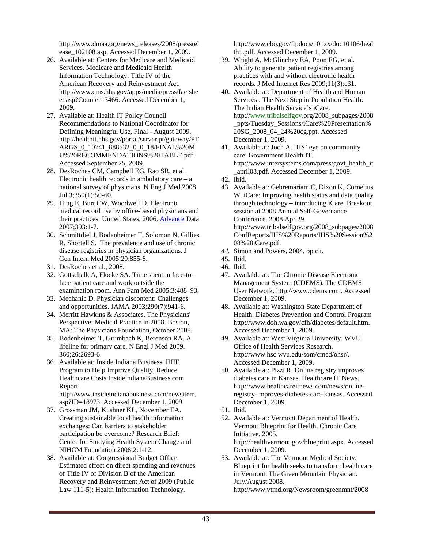http://www.dmaa.org/news\_releases/2008/pressrel ease\_102108.asp. Accessed December 1, 2009.

- 26. Available at: Centers for Medicare and Medicaid Services. Medicare and Medicaid Health Information Technology: Title IV of the American Recovery and Reinvestment Act. http://www.cms.hhs.gov/apps/media/press/factshe et.asp?Counter=3466. Accessed December 1, 2009.
- 27. Available at: Health IT Policy Council Recommendations to National Coordinator for Defining Meaningful Use, Final - August 2009. http://healthit.hhs.gov/portal/server.pt/gateway/PT ARGS\_0\_10741\_888532\_0\_0\_18/FINAL%20M U%20RECOMMENDATIONS%20TABLE.pdf. Accessed September 25, 2009.
- 28. DesRoches CM, Campbell EG, Rao SR, et al. Electronic health records in ambulatory care  $-$  a national survey of physicians. N Eng J Med 2008 Jul 3;359(1):50-60.
- 29. Hing E, Burt CW, Woodwell D, Electronic medical record use by office-based physicians and their practices: United States, 2006. Advance Data 2007;393:1-7.
- 30. Schmittdiel J, Bodenheimer T, Solomon N, Gillies R, Shortell S. The prevalence and use of chronic disease registries in physician organizations. J Gen Intern Med 2005;20:855-8.
- 31. DesRoches et al., 2008.
- 32. Gottschalk A, Flocke SA. Time spent in face-toface patient care and work outside the examination room. Ann Fam Med 2005;3:488–93.
- 33. Mechanic D. Physician discontent: Challenges and opportunities. JAMA 2003;290(7):941-6.
- 34. Merritt Hawkins & Associates. The Physicians' Perspective: Medical Practice in 2008. Boston, MA: The Physicians Foundation, October 2008.
- 35. Bodenheimer T, Grumbach K, Berenson RA. A lifeline for primary care. N Engl J Med 2009. 360;26:2693-6.
- 36. Available at: Inside Indiana Business. IHIE Program to Help Improve Quality, Reduce Healthcare Costs.InsideIndianaBusiness.com Report. http://www.insideindianabusiness.com/newsitem.

asp?ID=18973. Accessed December 1, 2009.

- 37. Grossman JM, Kushner KL, November EA. Creating sustainable local health information exchanges: Can barriers to stakeholder participation be overcome? Research Brief: Center for Studying Health System Change and NIHCM Foundation 2008;2:1-12.
- 38. Available at: Congressional Budget Office. Estimated effect on direct spending and revenues of Title IV of Division B of the American Recovery and Reinvestment Act of 2009 (Public Law 111-5): Health Information Technology.

http://www.cbo.gov/ftpdocs/101xx/doc10106/heal th1.pdf. Accessed December 1, 2009.

- 39. Wright A, McGlinchey EA, Poon EG, et al. Ability to generate patient registries among practices with and without electronic health records. J Med Internet Res 2009;11(3):e31.
- 40. Available at: Department of Health and Human Services . The Next Step in Population Health: The Indian Health Service's iCare. http://www.tribalselfgov.org/2008\_subpages/2008 \_ppts/Tuesday\_Sessions/iCare%20Presentation% 20SG\_2008\_04\_24%20cg.ppt. Accessed December 1, 2009.
- 41. Available at: Joch A. IHS' eye on community care. Government Health IT. http://www.intersystems.com/press/govt\_health\_it \_april08.pdf. Accessed December 1, 2009.
- 42. Ibid.
- 43. Available at: Gebremariam C, Dixon K, Cornelius W. iCare: Improving health status and data quality through technology – introducing iCare. Breakout session at 2008 Annual Self-Governance Conference. 2008 Apr 29. http://www.tribalselfgov.org/2008\_subpages/2008 ConfReports/IHS%20Reports/IHS%20Session%2 08%20iCare.pdf.
- *44.* Simon and Powers, 2004, op cit.

- 46. Ibid.
- 47. Available at: The Chronic Disease Electronic Management System (CDEMS). The CDEMS User Network. http://www.cdems.com. Accessed December 1, 2009.
- 48. Available at: Washington State Department of Health. Diabetes Prevention and Control Program http://www.doh.wa.gov/cfh/diabetes/default.htm. Accessed December 1, 2009.
- 49. Available at: West Virginia University. WVU Office of Health Services Research. http://www.hsc.wvu.edu/som/cmed/ohsr/. Accessed December 1, 2009.
- 50. Available at: Pizzi R. Online registry improves diabetes care in Kansas. Healthcare IT News. http://www.healthcareitnews.com/news/onlineregistry-improves-diabetes-care-kansas. Accessed December 1, 2009.
- 51. Ibid.
- 52. Available at: Vermont Department of Health. Vermont Blueprint for Health, Chronic Care Initiative. 2005. http://healthvermont.gov/blueprint.aspx. Accessed December 1, 2009.
- 53. Available at: The Vermont Medical Society. Blueprint for health seeks to transform health care in Vermont. The Green Mountain Physician. July/August 2008. http://www.vtmd.org/Newsroom/greenmnt/2008

<sup>45.</sup> Ibid.